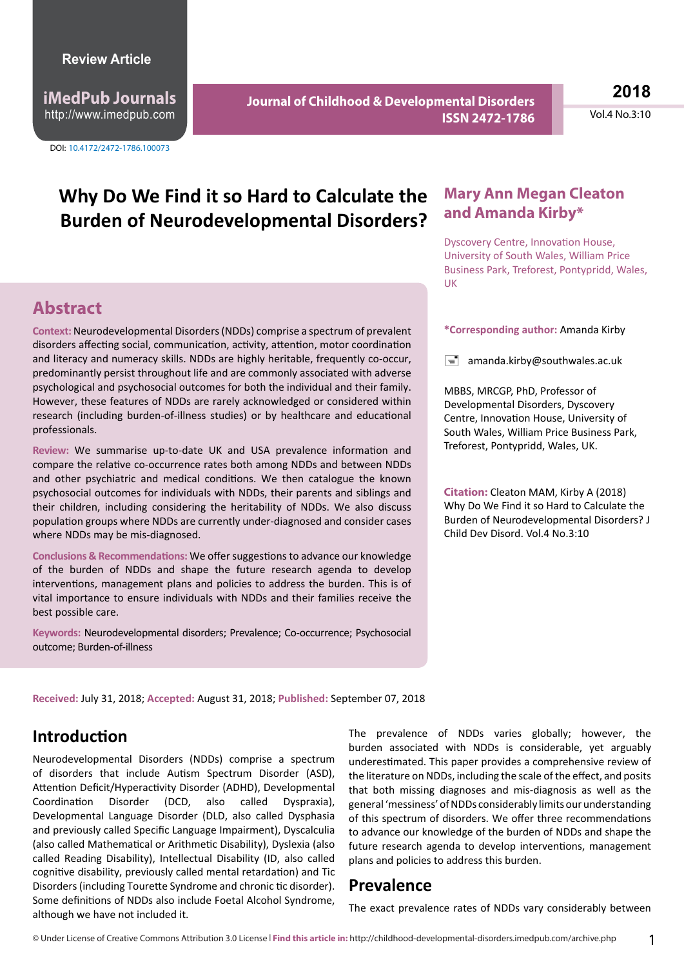**iMedPub Journals** http://www.imedpub.com

DOI: 10.4172/2472-1786.100073

**Journal of Childhood & Developmental Disorders ISSN 2472-1786** **2018**

Vol.4 No.3:10

# **Why Do We Find it so Hard to Calculate the Burden of Neurodevelopmental Disorders?**

# **Abstract**

**Context:** Neurodevelopmental Disorders (NDDs) comprise a spectrum of prevalent disorders affecting social, communication, activity, attention, motor coordination and literacy and numeracy skills. NDDs are highly heritable, frequently co-occur, predominantly persist throughout life and are commonly associated with adverse psychological and psychosocial outcomes for both the individual and their family. However, these features of NDDs are rarely acknowledged or considered within research (including burden-of-illness studies) or by healthcare and educational professionals.

**Review:** We summarise up-to-date UK and USA prevalence information and compare the relative co-occurrence rates both among NDDs and between NDDs and other psychiatric and medical conditions. We then catalogue the known psychosocial outcomes for individuals with NDDs, their parents and siblings and their children, including considering the heritability of NDDs. We also discuss population groups where NDDs are currently under-diagnosed and consider cases where NDDs may be mis-diagnosed.

**Conclusions & Recommendations:** We offer suggestions to advance our knowledge of the burden of NDDs and shape the future research agenda to develop interventions, management plans and policies to address the burden. This is of vital importance to ensure individuals with NDDs and their families receive the best possible care.

**Keywords:** Neurodevelopmental disorders; Prevalence; Co-occurrence; Psychosocial outcome; Burden-of-illness

### **Mary Ann Megan Cleaton and Amanda Kirby\***

Dyscovery Centre, Innovation House, University of South Wales, William Price Business Park, Treforest, Pontypridd, Wales, UK

#### **\*Corresponding author:** Amanda Kirby

 $\equiv$  amanda.kirby@southwales.ac.uk

MBBS, MRCGP, PhD, Professor of Developmental Disorders, Dyscovery Centre, Innovation House, University of South Wales, William Price Business Park, Treforest, Pontypridd, Wales, UK.

**Citation:** Cleaton MAM, Kirby A (2018) Why Do We Find it so Hard to Calculate the Burden of Neurodevelopmental Disorders? J Child Dev Disord. Vol.4 No.3:10

**Received:** July 31, 2018; **Accepted:** August 31, 2018; **Published:** September 07, 2018

### **Introduction**

Neurodevelopmental Disorders (NDDs) comprise a spectrum of disorders that include Autism Spectrum Disorder (ASD), Attention Deficit/Hyperactivity Disorder (ADHD), Developmental Coordination Disorder (DCD, also called Dyspraxia), Developmental Language Disorder (DLD, also called Dysphasia and previously called Specific Language Impairment), Dyscalculia (also called Mathematical or Arithmetic Disability), Dyslexia (also called Reading Disability), Intellectual Disability (ID, also called cognitive disability, previously called mental retardation) and Tic Disorders (including Tourette Syndrome and chronic tic disorder). Some definitions of NDDs also include Foetal Alcohol Syndrome, although we have not included it.

The prevalence of NDDs varies globally; however, the burden associated with NDDs is considerable, yet arguably underestimated. This paper provides a comprehensive review of the literature on NDDs, including the scale of the effect, and posits that both missing diagnoses and mis-diagnosis as well as the general 'messiness' of NDDs considerably limits our understanding of this spectrum of disorders. We offer three recommendations to advance our knowledge of the burden of NDDs and shape the future research agenda to develop interventions, management plans and policies to address this burden.

### **Prevalence**

The exact prevalence rates of NDDs vary considerably between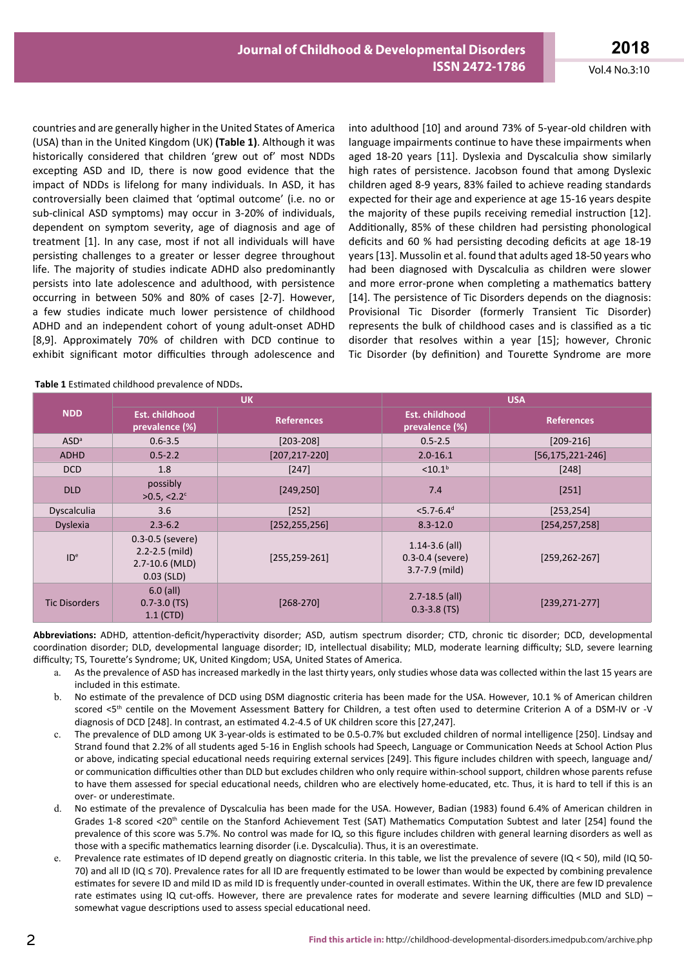countries and are generally higher in the United States of America (USA) than in the United Kingdom (UK) **(Table 1)**. Although it was historically considered that children 'grew out of' most NDDs excepting ASD and ID, there is now good evidence that the impact of NDDs is lifelong for many individuals. In ASD, it has controversially been claimed that 'optimal outcome' (i.e. no or sub-clinical ASD symptoms) may occur in 3-20% of individuals, dependent on symptom severity, age of diagnosis and age of treatment [1]. In any case, most if not all individuals will have persisting challenges to a greater or lesser degree throughout life. The majority of studies indicate ADHD also predominantly persists into late adolescence and adulthood, with persistence occurring in between 50% and 80% of cases [2-7]. However, a few studies indicate much lower persistence of childhood ADHD and an independent cohort of young adult-onset ADHD [8,9]. Approximately 70% of children with DCD continue to exhibit significant motor difficulties through adolescence and

into adulthood [10] and around 73% of 5-year-old children with language impairments continue to have these impairments when aged 18-20 years [11]. Dyslexia and Dyscalculia show similarly high rates of persistence. Jacobson found that among Dyslexic children aged 8-9 years, 83% failed to achieve reading standards expected for their age and experience at age 15-16 years despite the majority of these pupils receiving remedial instruction [12]. Additionally, 85% of these children had persisting phonological deficits and 60 % had persisting decoding deficits at age 18-19 years [13]. Mussolin et al. found that adults aged 18-50 years who had been diagnosed with Dyscalculia as children were slower and more error-prone when completing a mathematics battery [14]. The persistence of Tic Disorders depends on the diagnosis: Provisional Tic Disorder (formerly Transient Tic Disorder) represents the bulk of childhood cases and is classified as a tic disorder that resolves within a year [15]; however, Chronic Tic Disorder (by definition) and Tourette Syndrome are more

|                      |                                                                              | <b>UK</b>          | <b>USA</b>                                                       |                        |  |
|----------------------|------------------------------------------------------------------------------|--------------------|------------------------------------------------------------------|------------------------|--|
| <b>NDD</b>           | Est. childhood<br>prevalence (%)                                             | <b>References</b>  | <b>Est. childhood</b><br>prevalence (%)                          | <b>References</b>      |  |
| ASD <sup>a</sup>     | $0.6 - 3.5$                                                                  | $[203 - 208]$      | $0.5 - 2.5$                                                      | $[209-216]$            |  |
| <b>ADHD</b>          | $0.5 - 2.2$                                                                  | $[207, 217 - 220]$ | $2.0 - 16.1$                                                     | $[56, 175, 221 - 246]$ |  |
| <b>DCD</b>           | 1.8                                                                          | [247]              | < 10.1 <sup>b</sup>                                              | [248]                  |  |
| <b>DLD</b>           | possibly<br>$>0.5$ , <2.2 <sup>c</sup>                                       | [249, 250]         | 7.4                                                              | [251]                  |  |
| Dyscalculia          | 3.6                                                                          | $[252]$            | $<$ 5.7-6.4 <sup>d</sup>                                         | [253, 254]             |  |
| <b>Dyslexia</b>      | $2.3 - 6.2$                                                                  | [252, 255, 256]    | $8.3 - 12.0$                                                     | [254, 257, 258]        |  |
| ID <sup>e</sup>      | $0.3 - 0.5$ (severe)<br>$2.2 - 2.5$ (mild)<br>2.7-10.6 (MLD)<br>$0.03$ (SLD) | $[255, 259 - 261]$ | $1.14 - 3.6$ (all)<br>$0.3 - 0.4$ (severe)<br>$3.7 - 7.9$ (mild) | $[259, 262 - 267]$     |  |
| <b>Tic Disorders</b> | $6.0$ (all)<br>$0.7 - 3.0$ (TS)<br>$1.1$ (CTD)                               | $[268-270]$        | $2.7 - 18.5$ (all)<br>$0.3 - 3.8$ (TS)                           | $[239, 271 - 277]$     |  |

**Abbreviations:** ADHD, attention-deficit/hyperactivity disorder; ASD, autism spectrum disorder; CTD, chronic tic disorder; DCD, developmental coordination disorder; DLD, developmental language disorder; ID, intellectual disability; MLD, moderate learning difficulty; SLD, severe learning difficulty; TS, Tourette's Syndrome; UK, United Kingdom; USA, United States of America.

- a. As the prevalence of ASD has increased markedly in the last thirty years, only studies whose data was collected within the last 15 years are included in this estimate.
- b. No estimate of the prevalence of DCD using DSM diagnostic criteria has been made for the USA. However, 10.1 % of American children scored <5th centile on the Movement Assessment Battery for Children, a test often used to determine Criterion A of a DSM-IV or -V diagnosis of DCD [248]. In contrast, an estimated 4.2-4.5 of UK children score this [27,247].
- c. The prevalence of DLD among UK 3-year-olds is estimated to be 0.5-0.7% but excluded children of normal intelligence [250]. Lindsay and Strand found that 2.2% of all students aged 5-16 in English schools had Speech, Language or Communication Needs at School Action Plus or above, indicating special educational needs requiring external services [249]. This figure includes children with speech, language and/ or communication difficulties other than DLD but excludes children who only require within-school support, children whose parents refuse to have them assessed for special educational needs, children who are electively home-educated, etc. Thus, it is hard to tell if this is an over- or underestimate.
- No estimate of the prevalence of Dyscalculia has been made for the USA. However, Badian (1983) found 6.4% of American children in Grades 1-8 scored <20<sup>th</sup> centile on the Stanford Achievement Test (SAT) Mathematics Computation Subtest and later [254] found the prevalence of this score was 5.7%. No control was made for IQ, so this figure includes children with general learning disorders as well as those with a specific mathematics learning disorder (i.e. Dyscalculia). Thus, it is an overestimate.
- Prevalence rate estimates of ID depend greatly on diagnostic criteria. In this table, we list the prevalence of severe (IQ < 50), mild (IQ 50-70) and all ID (IQ ≤ 70). Prevalence rates for all ID are frequently estimated to be lower than would be expected by combining prevalence estimates for severe ID and mild ID as mild ID is frequently under-counted in overall estimates. Within the UK, there are few ID prevalence rate estimates using IQ cut-offs. However, there are prevalence rates for moderate and severe learning difficulties (MLD and SLD) somewhat vague descriptions used to assess special educational need.

#### **Table 1** Estimated childhood prevalence of NDDs**.**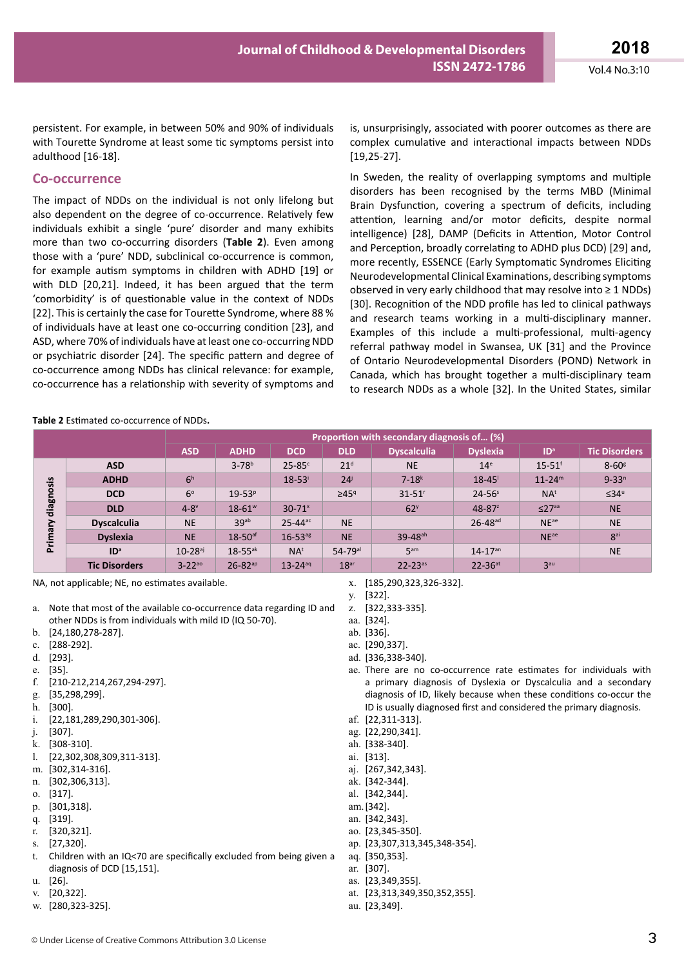persistent. For example, in between 50% and 90% of individuals with Tourette Syndrome at least some tic symptoms persist into adulthood [16-18].

#### **Co-occurrence**

The impact of NDDs on the individual is not only lifelong but also dependent on the degree of co-occurrence. Relatively few individuals exhibit a single 'pure' disorder and many exhibits more than two co-occurring disorders (**Table 2**). Even among those with a 'pure' NDD, subclinical co-occurrence is common, for example autism symptoms in children with ADHD [19] or with DLD [20,21]. Indeed, it has been argued that the term 'comorbidity' is of questionable value in the context of NDDs [22]. This is certainly the case for Tourette Syndrome, where 88 % of individuals have at least one co-occurring condition [23], and ASD, where 70% of individuals have at least one co-occurring NDD or psychiatric disorder [24]. The specific pattern and degree of co-occurrence among NDDs has clinical relevance: for example, co-occurrence has a relationship with severity of symptoms and

is, unsurprisingly, associated with poorer outcomes as there are complex cumulative and interactional impacts between NDDs [19,25-27].

In Sweden, the reality of overlapping symptoms and multiple disorders has been recognised by the terms MBD (Minimal Brain Dysfunction, covering a spectrum of deficits, including attention, learning and/or motor deficits, despite normal intelligence) [28], DAMP (Deficits in Attention, Motor Control and Perception, broadly correlating to ADHD plus DCD) [29] and, more recently, ESSENCE (Early Symptomatic Syndromes Eliciting Neurodevelopmental Clinical Examinations, describing symptoms observed in very early childhood that may resolve into ≥ 1 NDDs) [30]. Recognition of the NDD profile has led to clinical pathways and research teams working in a multi-disciplinary manner. Examples of this include a multi-professional, multi-agency referral pathway model in Swansea, UK [31] and the Province of Ontario Neurodevelopmental Disorders (POND) Network in Canada, which has brought together a multi-disciplinary team to research NDDs as a whole [32]. In the United States, similar

#### **Table 2** Estimated co-occurrence of NDDs**.**

|                      |                      | Proportion with secondary diagnosis of (%) |                         |                         |                         |                        |                         |                         |                        |
|----------------------|----------------------|--------------------------------------------|-------------------------|-------------------------|-------------------------|------------------------|-------------------------|-------------------------|------------------------|
|                      |                      | <b>ASD</b>                                 | <b>ADHD</b>             | <b>DCD</b>              | <b>DLD</b>              | <b>Dyscalculia</b>     | <b>Dyslexia</b>         | ID <sup>a</sup>         | <b>Tic Disorders</b>   |
| diagnosis<br>Primary | <b>ASD</b>           |                                            | $3 - 78$ <sup>b</sup>   | $25 - 85$ °             | 21 <sup>d</sup>         | <b>NE</b>              | 14 <sup>e</sup>         | $15 - 51$ <sup>f</sup>  | $8-60$ <sup>g</sup>    |
|                      | <b>ADHD</b>          | 6 <sup>h</sup>                             |                         | $18 - 53$               | 24 <sup>j</sup>         | $7 - 18k$              | $18 - 45$               | $11 - 24^{m}$           | $9 - 33^n$             |
|                      | <b>DCD</b>           | $6^\circ$                                  | $19 - 53^{p}$           |                         | $\geq 45$ <sup>q</sup>  | $31 - 51$ <sup>r</sup> | $24 - 56^s$             | NA <sup>t</sup>         | $\leq 34^{\mathrm{u}}$ |
|                      | <b>DLD</b>           | $4-8$                                      | $18 - 61$ <sup>w</sup>  | $30 - 71$ <sup>x</sup>  |                         | 62 <sup>y</sup>        | $48 - 87$ <sup>2</sup>  | $\leq$ 27 <sup>aa</sup> | <b>NE</b>              |
|                      | <b>Dyscalculia</b>   | <b>NE</b>                                  | 39 <sub>ab</sub>        | $25 - 44$ <sup>ac</sup> | <b>NE</b>               |                        | $26 - 48$ <sup>ad</sup> | $N E^{ae}$              | <b>NE</b>              |
|                      | <b>Dyslexia</b>      | <b>NE</b>                                  | $18-50$ <sup>af</sup>   | $16 - 53$ <sup>ag</sup> | <b>NE</b>               | 39-48 <sup>ah</sup>    |                         | NE <sup>ae</sup>        | 8 <sup>ai</sup>        |
|                      | ID <sup>a</sup>      | $10-28a$                                   | $18 - 55$ <sup>ak</sup> | NA <sup>t</sup>         | $54 - 79$ <sup>al</sup> | 5 <sup>am</sup>        | $14 - 17$ <sup>an</sup> |                         | <b>NE</b>              |
|                      | <b>Tic Disorders</b> | $3 - 22^{20}$                              | $26 - 82^{ap}$          | $13 - 24$ <sup>aq</sup> | 18 <sup>ar</sup>        | $22 - 23^{as}$         | $22 - 36$ <sup>at</sup> | 3 <sup>au</sup>         |                        |

NA, not applicable; NE, no estimates available.

- a. Note that most of the available co-occurrence data regarding ID and other NDDs is from individuals with mild ID (IQ 50-70).
- b. [24,180,278-287].
- c. [288-292].
- d. [293].
- e. [35].
- f. [210-212,214,267,294-297].
- g. [35,298,299].
- h. [300].
- i. [22,181,289,290,301-306].
- j. [307].
- k. [308-310].
- l. [22,302,308,309,311-313].
- m. [302,314-316].
- n. [302,306,313].
- o. [317].
- p. [301,318].
- q. [319].
- r. [320,321].
- s. [27,320].
- t. Children with an IQ<70 are specifically excluded from being given a diagnosis of DCD [15,151].
- u. [26].
- v. [20,322].
- w. [280,323-325].
- x. [185,290,323,326-332].
- y. [322].
- z. [322,333-335].
- aa. [324]. ab. [336].
- ac. [290,337].
- ad. [336,338-340].
- ae. There are no co-occurrence rate estimates for individuals with a primary diagnosis of Dyslexia or Dyscalculia and a secondary diagnosis of ID, likely because when these conditions co-occur the ID is usually diagnosed first and considered the primary diagnosis.
- af. [22,311-313].
- ag. [22,290,341].
- ah. [338-340].
- ai. [313].
- aj. [267,342,343].
- ak. [342-344].
- al. [342,344].
- am.[342].
- an. [342,343].
- 
- ao. [23,345-350].
- ap. [23,307,313,345,348-354].
- aq. [350,353].
- ar. [307].
- as. [23,349,355]. at. [23,313,349,350,352,355].
- au. [23,349].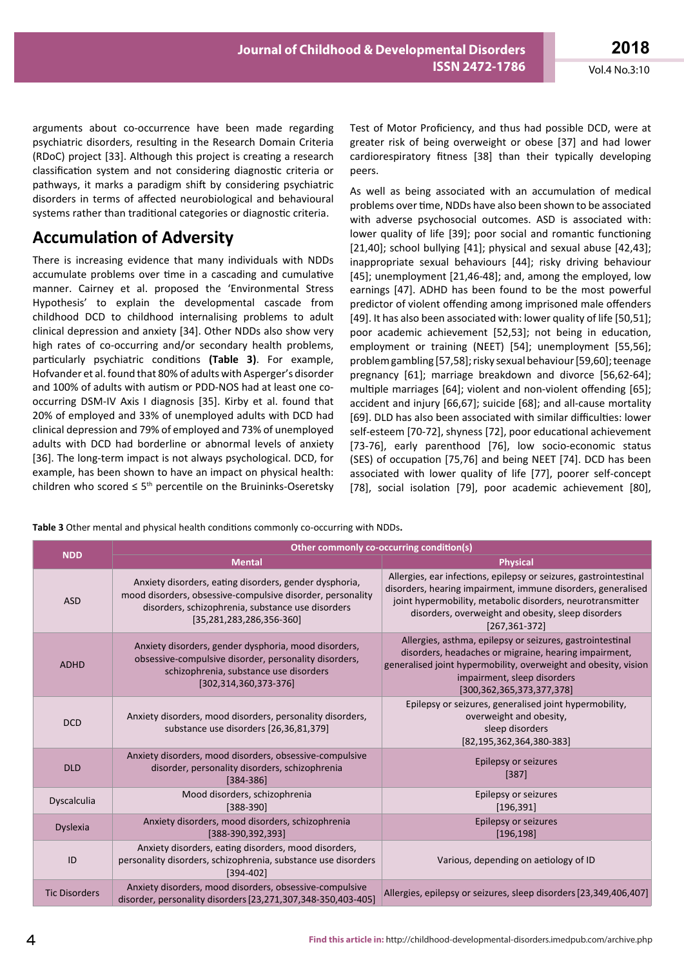arguments about co-occurrence have been made regarding psychiatric disorders, resulting in the Research Domain Criteria (RDoC) project [33]. Although this project is creating a research classification system and not considering diagnostic criteria or pathways, it marks a paradigm shift by considering psychiatric disorders in terms of affected neurobiological and behavioural systems rather than traditional categories or diagnostic criteria.

# **Accumulation of Adversity**

There is increasing evidence that many individuals with NDDs accumulate problems over time in a cascading and cumulative manner. Cairney et al. proposed the 'Environmental Stress Hypothesis' to explain the developmental cascade from childhood DCD to childhood internalising problems to adult clinical depression and anxiety [34]. Other NDDs also show very high rates of co-occurring and/or secondary health problems, particularly psychiatric conditions **(Table 3)**. For example, Hofvander et al. found that 80% of adults with Asperger's disorder and 100% of adults with autism or PDD-NOS had at least one cooccurring DSM-IV Axis I diagnosis [35]. Kirby et al. found that 20% of employed and 33% of unemployed adults with DCD had clinical depression and 79% of employed and 73% of unemployed adults with DCD had borderline or abnormal levels of anxiety [36]. The long-term impact is not always psychological. DCD, for example, has been shown to have an impact on physical health: children who scored  $\leq 5$ <sup>th</sup> percentile on the Bruininks-Oseretsky

Test of Motor Proficiency, and thus had possible DCD, were at greater risk of being overweight or obese [37] and had lower cardiorespiratory fitness [38] than their typically developing peers.

As well as being associated with an accumulation of medical problems over time, NDDs have also been shown to be associated with adverse psychosocial outcomes. ASD is associated with: lower quality of life [39]; poor social and romantic functioning [21,40]; school bullying [41]; physical and sexual abuse [42,43]; inappropriate sexual behaviours [44]; risky driving behaviour [45]; unemployment [21,46-48]; and, among the employed, low earnings [47]. ADHD has been found to be the most powerful predictor of violent offending among imprisoned male offenders [49]. It has also been associated with: lower quality of life [50,51]; poor academic achievement [52,53]; not being in education, employment or training (NEET) [54]; unemployment [55,56]; problem gambling [57,58]; risky sexual behaviour [59,60]; teenage pregnancy [61]; marriage breakdown and divorce [56,62-64]; multiple marriages [64]; violent and non-violent offending [65]; accident and injury [66,67]; suicide [68]; and all-cause mortality [69]. DLD has also been associated with similar difficulties: lower self-esteem [70-72], shyness [72], poor educational achievement [73-76], early parenthood [76], low socio-economic status (SES) of occupation [75,76] and being NEET [74]. DCD has been associated with lower quality of life [77], poorer self-concept [78], social isolation [79], poor academic achievement [80],

**Table 3** Other mental and physical health conditions commonly co-occurring with NDDs**.**

| <b>NDD</b>           | Other commonly co-occurring condition(s)                                                                                                                                                                    |                                                                                                                                                                                                                                                                             |  |  |  |  |  |
|----------------------|-------------------------------------------------------------------------------------------------------------------------------------------------------------------------------------------------------------|-----------------------------------------------------------------------------------------------------------------------------------------------------------------------------------------------------------------------------------------------------------------------------|--|--|--|--|--|
|                      | <b>Mental</b>                                                                                                                                                                                               | <b>Physical</b>                                                                                                                                                                                                                                                             |  |  |  |  |  |
| <b>ASD</b>           | Anxiety disorders, eating disorders, gender dysphoria,<br>mood disorders, obsessive-compulsive disorder, personality<br>disorders, schizophrenia, substance use disorders<br>$[35, 281, 283, 286, 356-360]$ | Allergies, ear infections, epilepsy or seizures, gastrointestinal<br>disorders, hearing impairment, immune disorders, generalised<br>joint hypermobility, metabolic disorders, neurotransmitter<br>disorders, overweight and obesity, sleep disorders<br>$[267, 361 - 372]$ |  |  |  |  |  |
| <b>ADHD</b>          | Anxiety disorders, gender dysphoria, mood disorders,<br>obsessive-compulsive disorder, personality disorders,<br>schizophrenia, substance use disorders<br>$[302, 314, 360, 373 - 376]$                     | Allergies, asthma, epilepsy or seizures, gastrointestinal<br>disorders, headaches or migraine, hearing impairment,<br>generalised joint hypermobility, overweight and obesity, vision<br>impairment, sleep disorders<br>[300, 362, 365, 373, 377, 378]                      |  |  |  |  |  |
| <b>DCD</b>           | Anxiety disorders, mood disorders, personality disorders,<br>substance use disorders [26,36,81,379]                                                                                                         | Epilepsy or seizures, generalised joint hypermobility,<br>overweight and obesity,<br>sleep disorders<br>$[82, 195, 362, 364, 380-383]$                                                                                                                                      |  |  |  |  |  |
| <b>DLD</b>           | Anxiety disorders, mood disorders, obsessive-compulsive<br>disorder, personality disorders, schizophrenia<br>$[384 - 386]$                                                                                  | Epilepsy or seizures<br>$[387]$                                                                                                                                                                                                                                             |  |  |  |  |  |
| Dyscalculia          | Mood disorders, schizophrenia<br>$[388-390]$                                                                                                                                                                | Epilepsy or seizures<br>[196, 391]                                                                                                                                                                                                                                          |  |  |  |  |  |
| Dyslexia             | Anxiety disorders, mood disorders, schizophrenia<br>[388-390,392,393]                                                                                                                                       | Epilepsy or seizures<br>[196, 198]                                                                                                                                                                                                                                          |  |  |  |  |  |
| ID                   | Anxiety disorders, eating disorders, mood disorders,<br>personality disorders, schizophrenia, substance use disorders<br>$[394 - 402]$                                                                      | Various, depending on aetiology of ID                                                                                                                                                                                                                                       |  |  |  |  |  |
| <b>Tic Disorders</b> | Anxiety disorders, mood disorders, obsessive-compulsive<br>disorder, personality disorders [23,271,307,348-350,403-405]                                                                                     | Allergies, epilepsy or seizures, sleep disorders [23,349,406,407]                                                                                                                                                                                                           |  |  |  |  |  |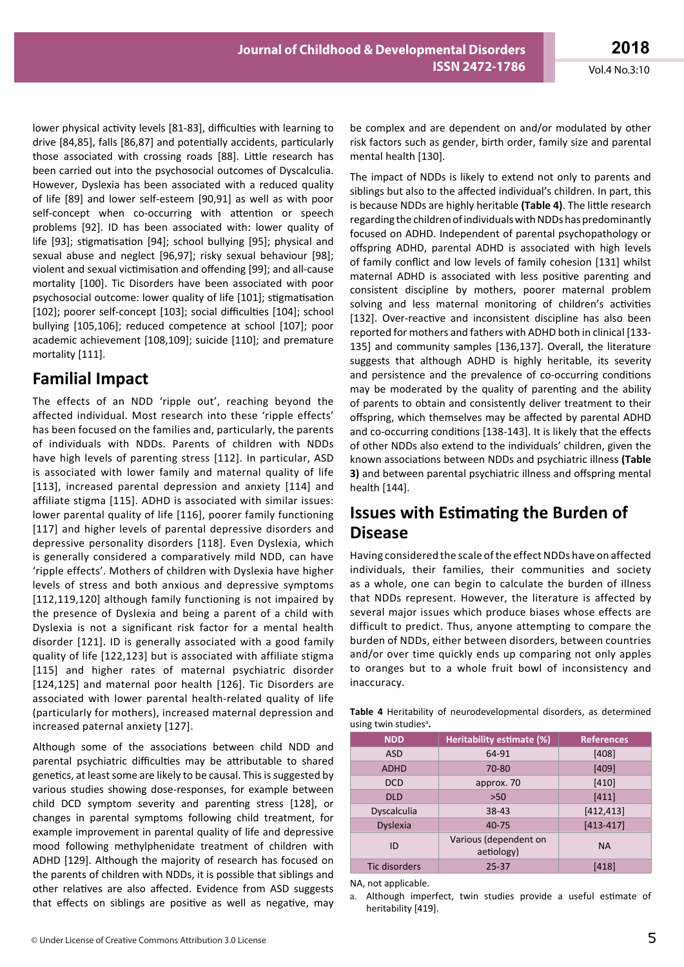lower physical activity levels [81-83], difficulties with learning to drive [84,85], falls [86,87] and potentially accidents, particularly those associated with crossing roads [88]. Little research has been carried out into the psychosocial outcomes of Dyscalculia. However, Dyslexia has been associated with a reduced quality of life [89] and lower self-esteem [90,91] as well as with poor self-concept when co-occurring with attention or speech problems [92]. ID has been associated with: lower quality of life [93]; stigmatisation [94]; school bullying [95]; physical and sexual abuse and neglect [96,97]; risky sexual behaviour [98]; violent and sexual victimisation and offending [99]; and all-cause mortality [100]. Tic Disorders have been associated with poor psychosocial outcome: lower quality of life [101]; stigmatisation [102]; poorer self-concept [103]; social difficulties [104]; school bullying [105,106]; reduced competence at school [107]; poor academic achievement [108,109]; suicide [110]; and premature mortality [111].

# **Familial Impact**

The effects of an NDD 'ripple out', reaching beyond the affected individual. Most research into these 'ripple effects' has been focused on the families and, particularly, the parents of individuals with NDDs. Parents of children with NDDs have high levels of parenting stress [112]. In particular, ASD is associated with lower family and maternal quality of life [113], increased parental depression and anxiety [114] and affiliate stigma [115]. ADHD is associated with similar issues: lower parental quality of life [116], poorer family functioning [117] and higher levels of parental depressive disorders and depressive personality disorders [118]. Even Dyslexia, which is generally considered a comparatively mild NDD, can have 'ripple effects'. Mothers of children with Dyslexia have higher levels of stress and both anxious and depressive symptoms [112,119,120] although family functioning is not impaired by the presence of Dyslexia and being a parent of a child with Dyslexia is not a significant risk factor for a mental health disorder [121]. ID is generally associated with a good family quality of life [122,123] but is associated with affiliate stigma [115] and higher rates of maternal psychiatric disorder [124,125] and maternal poor health [126]. Tic Disorders are associated with lower parental health-related quality of life (particularly for mothers), increased maternal depression and increased paternal anxiety [127].

Although some of the associations between child NDD and parental psychiatric difficulties may be attributable to shared genetics, at least some are likely to be causal. This is suggested by various studies showing dose-responses, for example between child DCD symptom severity and parenting stress [128], or changes in parental symptoms following child treatment, for example improvement in parental quality of life and depressive mood following methylphenidate treatment of children with ADHD [129]. Although the majority of research has focused on the parents of children with NDDs, it is possible that siblings and other relatives are also affected. Evidence from ASD suggests that effects on siblings are positive as well as negative, may

be complex and are dependent on and/or modulated by other risk factors such as gender, birth order, family size and parental mental health [130].

The impact of NDDs is likely to extend not only to parents and siblings but also to the affected individual's children. In part, this is because NDDs are highly heritable **(Table 4)**. The little research regarding the children of individuals with NDDs has predominantly focused on ADHD. Independent of parental psychopathology or offspring ADHD, parental ADHD is associated with high levels of family conflict and low levels of family cohesion [131] whilst maternal ADHD is associated with less positive parenting and consistent discipline by mothers, poorer maternal problem solving and less maternal monitoring of children's activities [132]. Over-reactive and inconsistent discipline has also been reported for mothers and fathers with ADHD both in clinical [133- 135] and community samples [136,137]. Overall, the literature suggests that although ADHD is highly heritable, its severity and persistence and the prevalence of co-occurring conditions may be moderated by the quality of parenting and the ability of parents to obtain and consistently deliver treatment to their offspring, which themselves may be affected by parental ADHD and co-occurring conditions [138-143]. It is likely that the effects of other NDDs also extend to the individuals' children, given the known associations between NDDs and psychiatric illness **(Table 3)** and between parental psychiatric illness and offspring mental health [144].

# **Issues with Estimating the Burden of Disease**

Having considered the scale of the effect NDDs have on affected individuals, their families, their communities and society as a whole, one can begin to calculate the burden of illness that NDDs represent. However, the literature is affected by several major issues which produce biases whose effects are difficult to predict. Thus, anyone attempting to compare the burden of NDDs, either between disorders, between countries and/or over time quickly ends up comparing not only apples to oranges but to a whole fruit bowl of inconsistency and inaccuracy.

|                                   | <b>Table 4</b> Heritability of neurodevelopmental disorders, as determined |  |  |
|-----------------------------------|----------------------------------------------------------------------------|--|--|
| using twin studies <sup>a</sup> . |                                                                            |  |  |

| <b>NDD</b>      | Heritability estimate (%)           | <b>References</b> |
|-----------------|-------------------------------------|-------------------|
| <b>ASD</b>      | 64-91                               | [408]             |
| <b>ADHD</b>     | 70-80                               | $[409]$           |
| <b>DCD</b>      | approx. 70                          | [410]             |
| <b>DLD</b>      | >50                                 | [411]             |
| Dyscalculia     | 38-43                               | [412, 413]        |
| <b>Dyslexia</b> | $40 - 75$                           | $[413 - 417]$     |
| ID              | Various (dependent on<br>aetiology) | <b>NA</b>         |
| Tic disorders   | $25 - 37$                           | $[418]$           |

NA, not applicable.

a. Although imperfect, twin studies provide a useful estimate of heritability [419].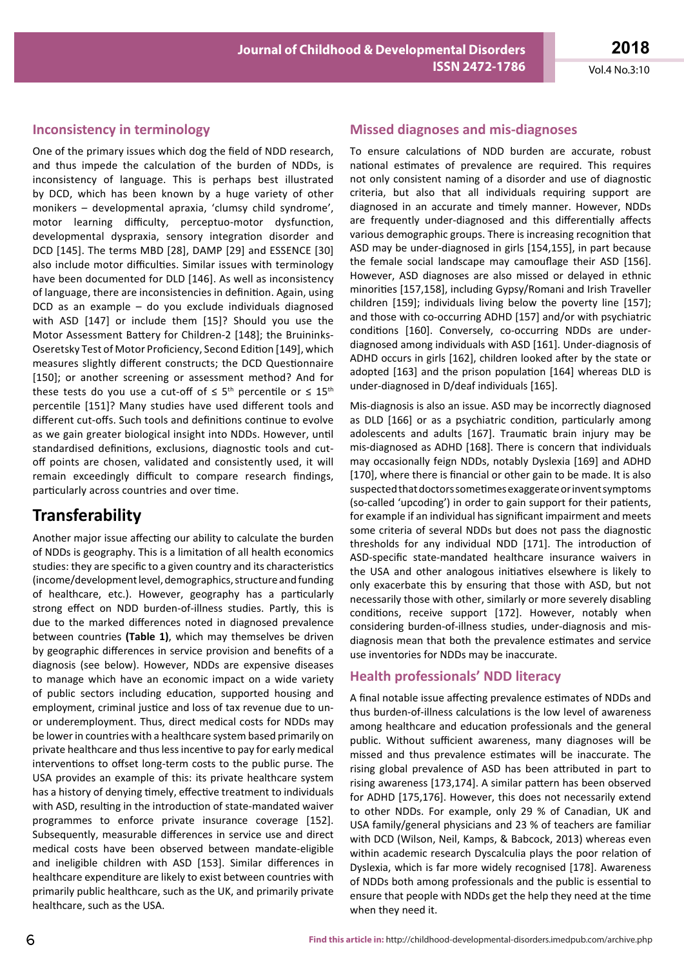### **Inconsistency in terminology**

One of the primary issues which dog the field of NDD research, and thus impede the calculation of the burden of NDDs, is inconsistency of language. This is perhaps best illustrated by DCD, which has been known by a huge variety of other monikers – developmental apraxia, 'clumsy child syndrome', motor learning difficulty, perceptuo-motor dysfunction, developmental dyspraxia, sensory integration disorder and DCD [145]. The terms MBD [28], DAMP [29] and ESSENCE [30] also include motor difficulties. Similar issues with terminology have been documented for DLD [146]. As well as inconsistency of language, there are inconsistencies in definition. Again, using DCD as an example – do you exclude individuals diagnosed with ASD [147] or include them [15]? Should you use the Motor Assessment Battery for Children-2 [148]; the Bruininks-Oseretsky Test of Motor Proficiency, Second Edition [149], which measures slightly different constructs; the DCD Questionnaire [150]; or another screening or assessment method? And for these tests do you use a cut-off of  $\leq 5$ <sup>th</sup> percentile or  $\leq 15$ <sup>th</sup> percentile [151]? Many studies have used different tools and different cut-offs. Such tools and definitions continue to evolve as we gain greater biological insight into NDDs. However, until standardised definitions, exclusions, diagnostic tools and cutoff points are chosen, validated and consistently used, it will remain exceedingly difficult to compare research findings, particularly across countries and over time.

### **Transferability**

Another major issue affecting our ability to calculate the burden of NDDs is geography. This is a limitation of all health economics studies: they are specific to a given country and its characteristics (income/development level, demographics, structure and funding of healthcare, etc.). However, geography has a particularly strong effect on NDD burden-of-illness studies. Partly, this is due to the marked differences noted in diagnosed prevalence between countries **(Table 1)**, which may themselves be driven by geographic differences in service provision and benefits of a diagnosis (see below). However, NDDs are expensive diseases to manage which have an economic impact on a wide variety of public sectors including education, supported housing and employment, criminal justice and loss of tax revenue due to unor underemployment. Thus, direct medical costs for NDDs may be lower in countries with a healthcare system based primarily on private healthcare and thus less incentive to pay for early medical interventions to offset long-term costs to the public purse. The USA provides an example of this: its private healthcare system has a history of denying timely, effective treatment to individuals with ASD, resulting in the introduction of state-mandated waiver programmes to enforce private insurance coverage [152]. Subsequently, measurable differences in service use and direct medical costs have been observed between mandate-eligible and ineligible children with ASD [153]. Similar differences in healthcare expenditure are likely to exist between countries with primarily public healthcare, such as the UK, and primarily private healthcare, such as the USA.

### **Missed diagnoses and mis-diagnoses**

To ensure calculations of NDD burden are accurate, robust national estimates of prevalence are required. This requires not only consistent naming of a disorder and use of diagnostic criteria, but also that all individuals requiring support are diagnosed in an accurate and timely manner. However, NDDs are frequently under-diagnosed and this differentially affects various demographic groups. There is increasing recognition that ASD may be under-diagnosed in girls [154,155], in part because the female social landscape may camouflage their ASD [156]. However, ASD diagnoses are also missed or delayed in ethnic minorities [157,158], including Gypsy/Romani and Irish Traveller children [159]; individuals living below the poverty line [157]; and those with co-occurring ADHD [157] and/or with psychiatric conditions [160]. Conversely, co-occurring NDDs are underdiagnosed among individuals with ASD [161]. Under-diagnosis of ADHD occurs in girls [162], children looked after by the state or adopted [163] and the prison population [164] whereas DLD is under-diagnosed in D/deaf individuals [165].

Mis-diagnosis is also an issue. ASD may be incorrectly diagnosed as DLD [166] or as a psychiatric condition, particularly among adolescents and adults [167]. Traumatic brain injury may be mis-diagnosed as ADHD [168]. There is concern that individuals may occasionally feign NDDs, notably Dyslexia [169] and ADHD [170], where there is financial or other gain to be made. It is also suspected that doctors sometimes exaggerate or invent symptoms (so-called 'upcoding') in order to gain support for their patients, for example if an individual has significant impairment and meets some criteria of several NDDs but does not pass the diagnostic thresholds for any individual NDD [171]. The introduction of ASD-specific state-mandated healthcare insurance waivers in the USA and other analogous initiatives elsewhere is likely to only exacerbate this by ensuring that those with ASD, but not necessarily those with other, similarly or more severely disabling conditions, receive support [172]. However, notably when considering burden-of-illness studies, under-diagnosis and misdiagnosis mean that both the prevalence estimates and service use inventories for NDDs may be inaccurate.

### **Health professionals' NDD literacy**

A final notable issue affecting prevalence estimates of NDDs and thus burden-of-illness calculations is the low level of awareness among healthcare and education professionals and the general public. Without sufficient awareness, many diagnoses will be missed and thus prevalence estimates will be inaccurate. The rising global prevalence of ASD has been attributed in part to rising awareness [173,174]. A similar pattern has been observed for ADHD [175,176]. However, this does not necessarily extend to other NDDs. For example, only 29 % of Canadian, UK and USA family/general physicians and 23 % of teachers are familiar with DCD (Wilson, Neil, Kamps, & Babcock, 2013) whereas even within academic research Dyscalculia plays the poor relation of Dyslexia, which is far more widely recognised [178]. Awareness of NDDs both among professionals and the public is essential to ensure that people with NDDs get the help they need at the time when they need it.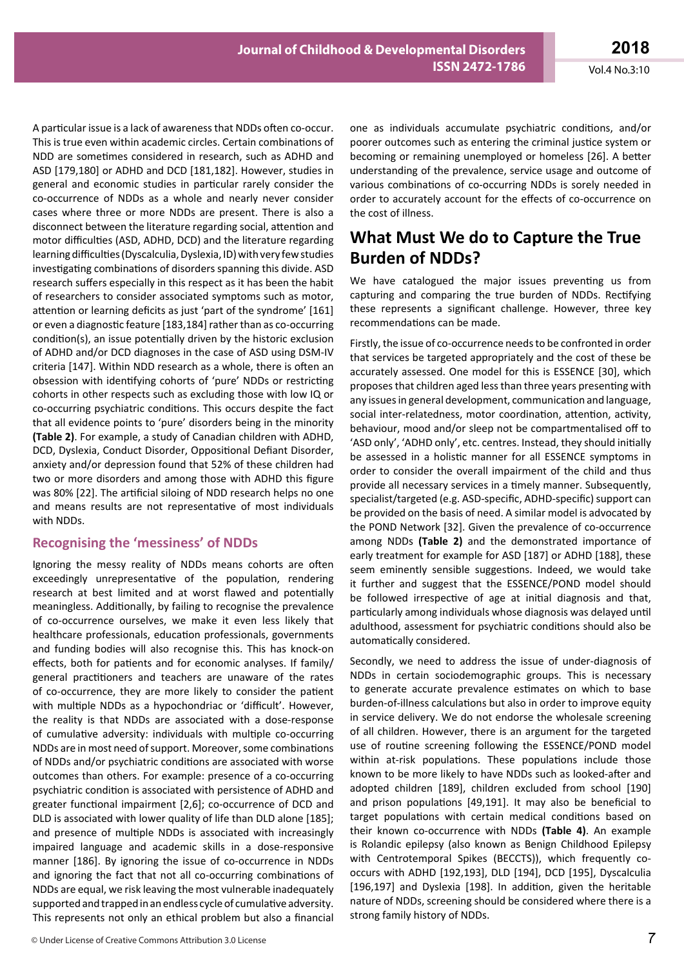A particular issue is a lack of awareness that NDDs often co-occur. This is true even within academic circles. Certain combinations of NDD are sometimes considered in research, such as ADHD and ASD [179,180] or ADHD and DCD [181,182]. However, studies in general and economic studies in particular rarely consider the co-occurrence of NDDs as a whole and nearly never consider cases where three or more NDDs are present. There is also a disconnect between the literature regarding social, attention and motor difficulties (ASD, ADHD, DCD) and the literature regarding learning difficulties (Dyscalculia, Dyslexia, ID) with very few studies investigating combinations of disorders spanning this divide. ASD research suffers especially in this respect as it has been the habit of researchers to consider associated symptoms such as motor, attention or learning deficits as just 'part of the syndrome' [161] or even a diagnostic feature [183,184] rather than as co-occurring condition(s), an issue potentially driven by the historic exclusion of ADHD and/or DCD diagnoses in the case of ASD using DSM-IV criteria [147]. Within NDD research as a whole, there is often an obsession with identifying cohorts of 'pure' NDDs or restricting cohorts in other respects such as excluding those with low IQ or co-occurring psychiatric conditions. This occurs despite the fact that all evidence points to 'pure' disorders being in the minority **(Table 2)**. For example, a study of Canadian children with ADHD, DCD, Dyslexia, Conduct Disorder, Oppositional Defiant Disorder, anxiety and/or depression found that 52% of these children had two or more disorders and among those with ADHD this figure was 80% [22]. The artificial siloing of NDD research helps no one and means results are not representative of most individuals with NDDs.

### **Recognising the 'messiness' of NDDs**

Ignoring the messy reality of NDDs means cohorts are often exceedingly unrepresentative of the population, rendering research at best limited and at worst flawed and potentially meaningless. Additionally, by failing to recognise the prevalence of co-occurrence ourselves, we make it even less likely that healthcare professionals, education professionals, governments and funding bodies will also recognise this. This has knock-on effects, both for patients and for economic analyses. If family/ general practitioners and teachers are unaware of the rates of co-occurrence, they are more likely to consider the patient with multiple NDDs as a hypochondriac or 'difficult'. However, the reality is that NDDs are associated with a dose-response of cumulative adversity: individuals with multiple co-occurring NDDs are in most need of support. Moreover, some combinations of NDDs and/or psychiatric conditions are associated with worse outcomes than others. For example: presence of a co-occurring psychiatric condition is associated with persistence of ADHD and greater functional impairment [2,6]; co-occurrence of DCD and DLD is associated with lower quality of life than DLD alone [185]; and presence of multiple NDDs is associated with increasingly impaired language and academic skills in a dose-responsive manner [186]. By ignoring the issue of co-occurrence in NDDs and ignoring the fact that not all co-occurring combinations of NDDs are equal, we risk leaving the most vulnerable inadequately supported and trapped in an endless cycle of cumulative adversity. This represents not only an ethical problem but also a financial

one as individuals accumulate psychiatric conditions, and/or poorer outcomes such as entering the criminal justice system or becoming or remaining unemployed or homeless [26]. A better understanding of the prevalence, service usage and outcome of various combinations of co-occurring NDDs is sorely needed in order to accurately account for the effects of co-occurrence on the cost of illness.

### **What Must We do to Capture the True Burden of NDDs?**

We have catalogued the major issues preventing us from capturing and comparing the true burden of NDDs. Rectifying these represents a significant challenge. However, three key recommendations can be made.

Firstly, the issue of co-occurrence needs to be confronted in order that services be targeted appropriately and the cost of these be accurately assessed. One model for this is ESSENCE [30], which proposes that children aged less than three years presenting with any issues in general development, communication and language, social inter-relatedness, motor coordination, attention, activity, behaviour, mood and/or sleep not be compartmentalised off to 'ASD only', 'ADHD only', etc. centres. Instead, they should initially be assessed in a holistic manner for all ESSENCE symptoms in order to consider the overall impairment of the child and thus provide all necessary services in a timely manner. Subsequently, specialist/targeted (e.g. ASD-specific, ADHD-specific) support can be provided on the basis of need. A similar model is advocated by the POND Network [32]. Given the prevalence of co-occurrence among NDDs **(Table 2)** and the demonstrated importance of early treatment for example for ASD [187] or ADHD [188], these seem eminently sensible suggestions. Indeed, we would take it further and suggest that the ESSENCE/POND model should be followed irrespective of age at initial diagnosis and that, particularly among individuals whose diagnosis was delayed until adulthood, assessment for psychiatric conditions should also be automatically considered.

Secondly, we need to address the issue of under-diagnosis of NDDs in certain sociodemographic groups. This is necessary to generate accurate prevalence estimates on which to base burden-of-illness calculations but also in order to improve equity in service delivery. We do not endorse the wholesale screening of all children. However, there is an argument for the targeted use of routine screening following the ESSENCE/POND model within at-risk populations. These populations include those known to be more likely to have NDDs such as looked-after and adopted children [189], children excluded from school [190] and prison populations [49,191]. It may also be beneficial to target populations with certain medical conditions based on their known co-occurrence with NDDs **(Table 4)**. An example is Rolandic epilepsy (also known as Benign Childhood Epilepsy with Centrotemporal Spikes (BECCTS)), which frequently cooccurs with ADHD [192,193], DLD [194], DCD [195], Dyscalculia [196,197] and Dyslexia [198]. In addition, given the heritable nature of NDDs, screening should be considered where there is a strong family history of NDDs.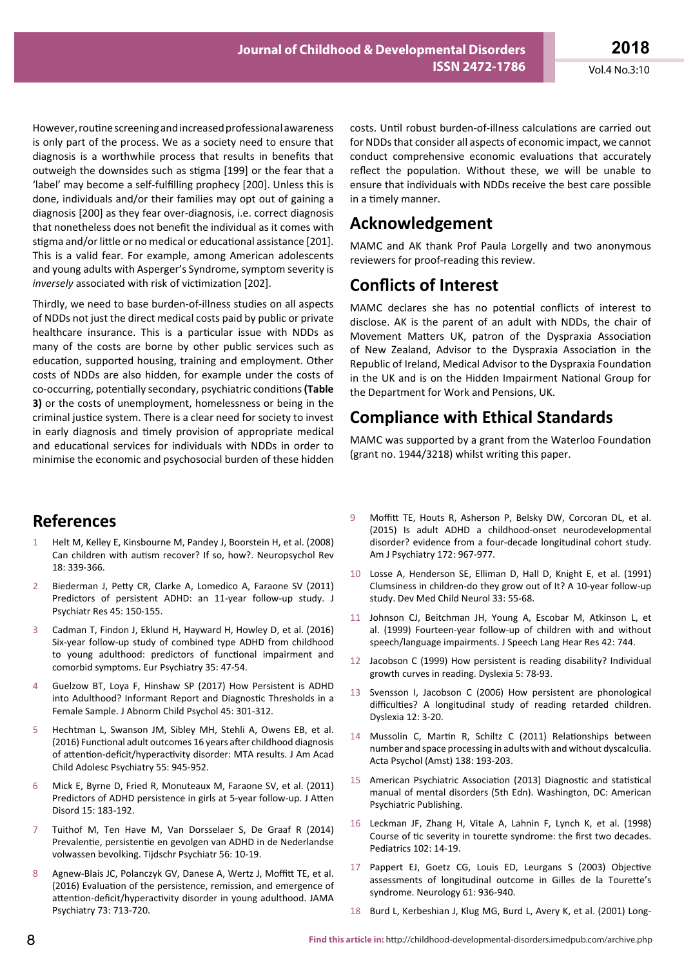However, routine screening and increased professional awareness is only part of the process. We as a society need to ensure that diagnosis is a worthwhile process that results in benefits that outweigh the downsides such as stigma [199] or the fear that a 'label' may become a self-fulfilling prophecy [200]. Unless this is done, individuals and/or their families may opt out of gaining a diagnosis [200] as they fear over-diagnosis, i.e. correct diagnosis that nonetheless does not benefit the individual as it comes with stigma and/or little or no medical or educational assistance [201]. This is a valid fear. For example, among American adolescents and young adults with Asperger's Syndrome, symptom severity is *inversely* associated with risk of victimization [202].

Thirdly, we need to base burden-of-illness studies on all aspects of NDDs not just the direct medical costs paid by public or private healthcare insurance. This is a particular issue with NDDs as many of the costs are borne by other public services such as education, supported housing, training and employment. Other costs of NDDs are also hidden, for example under the costs of co-occurring, potentially secondary, psychiatric conditions **(Table 3)** or the costs of unemployment, homelessness or being in the criminal justice system. There is a clear need for society to invest in early diagnosis and timely provision of appropriate medical and educational services for individuals with NDDs in order to minimise the economic and psychosocial burden of these hidden

# **References**

- 1 Helt M, Kelley E, Kinsbourne M, Pandey J, Boorstein H, et al. (2008) Can children with autism recover? If so, how?. Neuropsychol Rev 18: 339-366.
- 2 Biederman J, Petty CR, Clarke A, Lomedico A, Faraone SV (2011) Predictors of persistent ADHD: an 11-year follow-up study. J Psychiatr Res 45: 150-155.
- 3 Cadman T, Findon J, Eklund H, Hayward H, Howley D, et al. (2016) Six-year follow-up study of combined type ADHD from childhood to young adulthood: predictors of functional impairment and comorbid symptoms. Eur Psychiatry 35: 47-54.
- 4 Guelzow BT, Loya F, Hinshaw SP (2017) How Persistent is ADHD into Adulthood? Informant Report and Diagnostic Thresholds in a Female Sample. J Abnorm Child Psychol 45: 301-312.
- 5 Hechtman L, Swanson JM, Sibley MH, Stehli A, Owens EB, et al. (2016) Functional adult outcomes 16 years after childhood diagnosis of attention-deficit/hyperactivity disorder: MTA results. J Am Acad Child Adolesc Psychiatry 55: 945-952.
- 6 Mick E, Byrne D, Fried R, Monuteaux M, Faraone SV, et al. (2011) Predictors of ADHD persistence in girls at 5-year follow-up. J Atten Disord 15: 183-192.
- 7 Tuithof M, Ten Have M, Van Dorsselaer S, De Graaf R (2014) Prevalentie, persistentie en gevolgen van ADHD in de Nederlandse volwassen bevolking. Tijdschr Psychiatr 56: 10-19.
- 8 Agnew-Blais JC, Polanczyk GV, Danese A, Wertz J, Moffitt TE, et al. (2016) Evaluation of the persistence, remission, and emergence of attention-deficit/hyperactivity disorder in young adulthood. JAMA Psychiatry 73: 713-720.

costs. Until robust burden-of-illness calculations are carried out for NDDs that consider all aspects of economic impact, we cannot conduct comprehensive economic evaluations that accurately reflect the population. Without these, we will be unable to ensure that individuals with NDDs receive the best care possible in a timely manner.

# **Acknowledgement**

MAMC and AK thank Prof Paula Lorgelly and two anonymous reviewers for proof-reading this review.

### **Conflicts of Interest**

MAMC declares she has no potential conflicts of interest to disclose. AK is the parent of an adult with NDDs, the chair of Movement Matters UK, patron of the Dyspraxia Association of New Zealand, Advisor to the Dyspraxia Association in the Republic of Ireland, Medical Advisor to the Dyspraxia Foundation in the UK and is on the Hidden Impairment National Group for the Department for Work and Pensions, UK.

# **Compliance with Ethical Standards**

MAMC was supported by a grant from the Waterloo Foundation (grant no. 1944/3218) whilst writing this paper.

- 9 Moffitt TE, Houts R, Asherson P, Belsky DW, Corcoran DL, et al. (2015) Is adult ADHD a childhood-onset neurodevelopmental disorder? evidence from a four-decade longitudinal cohort study. Am J Psychiatry 172: 967-977.
- 10 Losse A, Henderson SE, Elliman D, Hall D, Knight E, et al. (1991) Clumsiness in children‐do they grow out of It? A 10‐year follow‐up study. Dev Med Child Neurol 33: 55-68.
- 11 Johnson CJ, Beitchman JH, Young A, Escobar M, Atkinson L, et al. (1999) Fourteen-year follow-up of children with and without speech/language impairments. J Speech Lang Hear Res 42: 744.
- 12 Jacobson C (1999) How persistent is reading disability? Individual growth curves in reading. Dyslexia 5: 78-93.
- 13 Svensson I, Jacobson C (2006) How persistent are phonological difficulties? A longitudinal study of reading retarded children. Dyslexia 12: 3-20.
- 14 Mussolin C, Martin R, Schiltz C (2011) Relationships between number and space processing in adults with and without dyscalculia. Acta Psychol (Amst) 138: 193-203.
- 15 American Psychiatric Association (2013) Diagnostic and statistical manual of mental disorders (5th Edn). Washington, DC: American Psychiatric Publishing.
- 16 Leckman JF, Zhang H, Vitale A, Lahnin F, Lynch K, et al. (1998) Course of tic severity in tourette syndrome: the first two decades. Pediatrics 102: 14-19.
- 17 Pappert EJ, Goetz CG, Louis ED, Leurgans S (2003) Objective assessments of longitudinal outcome in Gilles de la Tourette's syndrome. Neurology 61: 936-940.
- 18 Burd L, Kerbeshian J, Klug MG, Burd L, Avery K, et al. (2001) Long-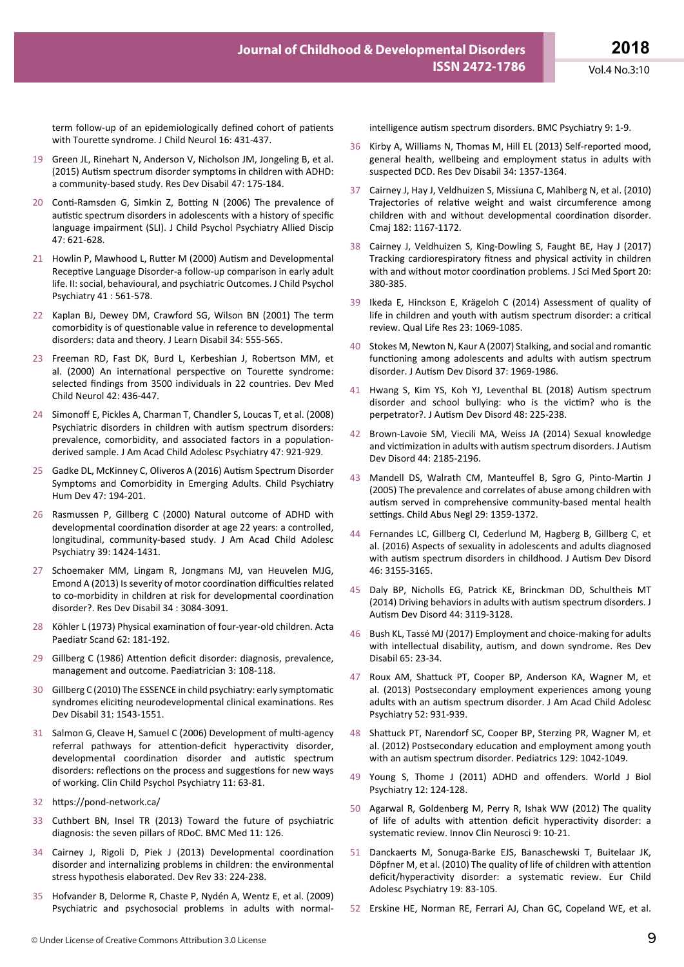term follow-up of an epidemiologically defined cohort of patients with Tourette syndrome. J Child Neurol 16: 431-437.

- 19 Green JL, Rinehart N, Anderson V, Nicholson JM, Jongeling B, et al. (2015) Autism spectrum disorder symptoms in children with ADHD: a community-based study. Res Dev Disabil 47: 175-184.
- 20 Conti-Ramsden G, Simkin Z, Botting N (2006) The prevalence of autistic spectrum disorders in adolescents with a history of specific language impairment (SLI). J Child Psychol Psychiatry Allied Discip 47: 621-628.
- 21 Howlin P, Mawhood L, Rutter M (2000) Autism and Developmental Receptive Language Disorder-a follow-up comparison in early adult life. II: social, behavioural, and psychiatric Outcomes. J Child Psychol Psychiatry 41 : 561-578.
- 22 Kaplan BJ, Dewey DM, Crawford SG, Wilson BN (2001) The term comorbidity is of questionable value in reference to developmental disorders: data and theory. J Learn Disabil 34: 555-565.
- 23 Freeman RD, Fast DK, Burd L, Kerbeshian J, Robertson MM, et al. (2000) An international perspective on Tourette syndrome: selected findings from 3500 individuals in 22 countries. Dev Med Child Neurol 42: 436-447.
- 24 Simonoff E, Pickles A, Charman T, Chandler S, Loucas T, et al. (2008) Psychiatric disorders in children with autism spectrum disorders: prevalence, comorbidity, and associated factors in a populationderived sample. J Am Acad Child Adolesc Psychiatry 47: 921-929.
- 25 Gadke DL, McKinney C, Oliveros A (2016) Autism Spectrum Disorder Symptoms and Comorbidity in Emerging Adults. Child Psychiatry Hum Dev 47: 194-201.
- 26 Rasmussen P, Gillberg C (2000) Natural outcome of ADHD with developmental coordination disorder at age 22 years: a controlled, longitudinal, community-based study. J Am Acad Child Adolesc Psychiatry 39: 1424-1431.
- 27 Schoemaker MM, Lingam R, Jongmans MJ, van Heuvelen MJG, Emond A (2013) Is severity of motor coordination difficulties related to co-morbidity in children at risk for developmental coordination disorder?. Res Dev Disabil 34 : 3084-3091.
- 28 Köhler L (1973) Physical examination of four-year-old children. Acta Paediatr Scand 62: 181-192.
- 29 Gillberg C (1986) Attention deficit disorder: diagnosis, prevalence, management and outcome. Paediatrician 3: 108-118.
- 30 Gillberg C (2010) The ESSENCE in child psychiatry: early symptomatic syndromes eliciting neurodevelopmental clinical examinations. Res Dev Disabil 31: 1543-1551.
- 31 Salmon G, Cleave H, Samuel C (2006) Development of multi-agency referral pathways for attention-deficit hyperactivity disorder, developmental coordination disorder and autistic spectrum disorders: reflections on the process and suggestions for new ways of working. Clin Child Psychol Psychiatry 11: 63-81.
- 32 https://pond-network.ca/
- 33 Cuthbert BN, Insel TR (2013) Toward the future of psychiatric diagnosis: the seven pillars of RDoC. BMC Med 11: 126.
- 34 Cairney J, Rigoli D, Piek J (2013) Developmental coordination disorder and internalizing problems in children: the environmental stress hypothesis elaborated. Dev Rev 33: 224-238.
- 35 Hofvander B, Delorme R, Chaste P, Nydén A, Wentz E, et al. (2009) Psychiatric and psychosocial problems in adults with normal-

intelligence autism spectrum disorders. BMC Psychiatry 9: 1-9.

- 36 Kirby A, Williams N, Thomas M, Hill EL (2013) Self-reported mood, general health, wellbeing and employment status in adults with suspected DCD. Res Dev Disabil 34: 1357-1364.
- 37 Cairney J, Hay J, Veldhuizen S, Missiuna C, Mahlberg N, et al. (2010) Trajectories of relative weight and waist circumference among children with and without developmental coordination disorder. Cmaj 182: 1167-1172.
- 38 Cairney J, Veldhuizen S, King-Dowling S, Faught BE, Hay J (2017) Tracking cardiorespiratory fitness and physical activity in children with and without motor coordination problems. J Sci Med Sport 20: 380-385.
- 39 Ikeda E, Hinckson E, Krägeloh C (2014) Assessment of quality of life in children and youth with autism spectrum disorder: a critical review. Qual Life Res 23: 1069-1085.
- 40 Stokes M, Newton N, Kaur A (2007) Stalking, and social and romantic functioning among adolescents and adults with autism spectrum disorder. J Autism Dev Disord 37: 1969-1986.
- 41 Hwang S, Kim YS, Koh YJ, Leventhal BL (2018) Autism spectrum disorder and school bullying: who is the victim? who is the perpetrator?. J Autism Dev Disord 48: 225-238.
- 42 Brown-Lavoie SM, Viecili MA, Weiss JA (2014) Sexual knowledge and victimization in adults with autism spectrum disorders. J Autism Dev Disord 44: 2185-2196.
- 43 Mandell DS, Walrath CM, Manteuffel B, Sgro G, Pinto-Martin J (2005) The prevalence and correlates of abuse among children with autism served in comprehensive community-based mental health settings. Child Abus Negl 29: 1359-1372.
- 44 Fernandes LC, Gillberg CI, Cederlund M, Hagberg B, Gillberg C, et al. (2016) Aspects of sexuality in adolescents and adults diagnosed with autism spectrum disorders in childhood. J Autism Dev Disord 46: 3155-3165.
- 45 Daly BP, Nicholls EG, Patrick KE, Brinckman DD, Schultheis MT (2014) Driving behaviors in adults with autism spectrum disorders. J Autism Dev Disord 44: 3119-3128.
- 46 Bush KL, Tassé MJ (2017) Employment and choice-making for adults with intellectual disability, autism, and down syndrome. Res Dev Disabil 65: 23-34.
- 47 Roux AM, Shattuck PT, Cooper BP, Anderson KA, Wagner M, et al. (2013) Postsecondary employment experiences among young adults with an autism spectrum disorder. J Am Acad Child Adolesc Psychiatry 52: 931-939.
- 48 Shattuck PT, Narendorf SC, Cooper BP, Sterzing PR, Wagner M, et al. (2012) Postsecondary education and employment among youth with an autism spectrum disorder. Pediatrics 129: 1042-1049.
- 49 Young S, Thome J (2011) ADHD and offenders. World J Biol Psychiatry 12: 124-128.
- 50 Agarwal R, Goldenberg M, Perry R, Ishak WW (2012) The quality of life of adults with attention deficit hyperactivity disorder: a systematic review. Innov Clin Neurosci 9: 10-21.
- 51 Danckaerts M, Sonuga-Barke EJS, Banaschewski T, Buitelaar JK, Döpfner M, et al. (2010) The quality of life of children with attention deficit/hyperactivity disorder: a systematic review. Eur Child Adolesc Psychiatry 19: 83-105.
- 52 Erskine HE, Norman RE, Ferrari AJ, Chan GC, Copeland WE, et al.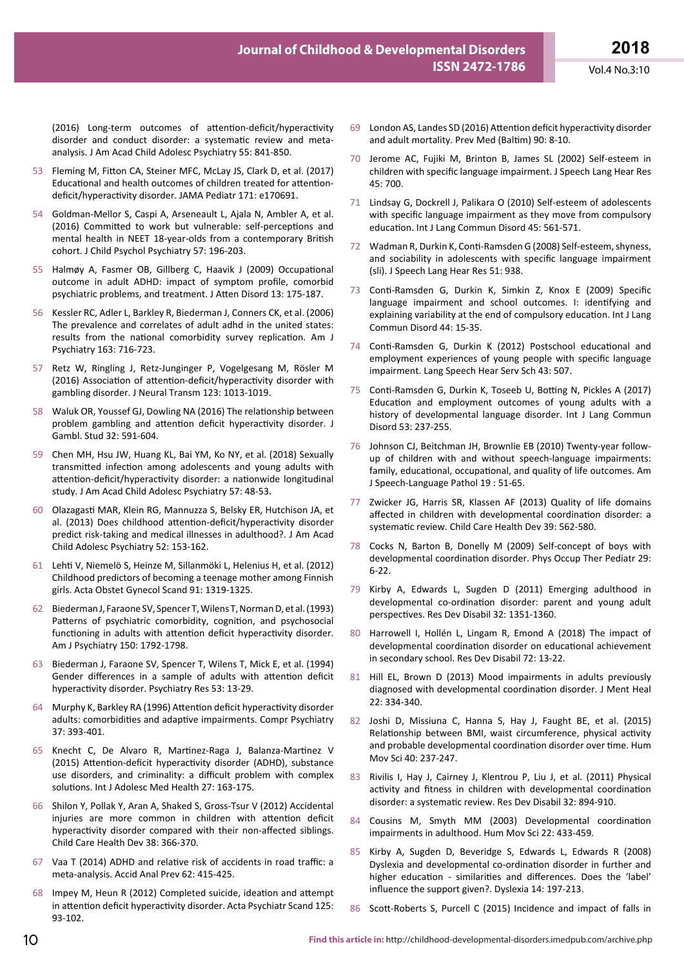(2016) Long-term outcomes of attention-deficit/hyperactivity disorder and conduct disorder: a systematic review and metaanalysis. J Am Acad Child Adolesc Psychiatry 55: 841-850.

- 53 Fleming M, Fitton CA, Steiner MFC, McLay JS, Clark D, et al. (2017) Educational and health outcomes of children treated for attentiondeficit/hyperactivity disorder. JAMA Pediatr 171: e170691.
- 54 Goldman-Mellor S, Caspi A, Arseneault L, Ajala N, Ambler A, et al. (2016) Committed to work but vulnerable: self-perceptions and mental health in NEET 18-year-olds from a contemporary British cohort. J Child Psychol Psychiatry 57: 196-203.
- 55 Halmøy A, Fasmer OB, Gillberg C, Haavik J (2009) Occupational outcome in adult ADHD: impact of symptom profile, comorbid psychiatric problems, and treatment. J Atten Disord 13: 175-187.
- 56 Kessler RC, Adler L, Barkley R, Biederman J, Conners CK, et al. (2006) The prevalence and correlates of adult adhd in the united states: results from the national comorbidity survey replication. Am J Psychiatry 163: 716-723.
- 57 Retz W, Ringling J, Retz-Junginger P, Vogelgesang M, Rösler M (2016) Association of attention-deficit/hyperactivity disorder with gambling disorder. J Neural Transm 123: 1013-1019.
- 58 Waluk OR, Youssef GJ, Dowling NA (2016) The relationship between problem gambling and attention deficit hyperactivity disorder. J Gambl. Stud 32: 591-604.
- 59 Chen MH, Hsu JW, Huang KL, Bai YM, Ko NY, et al. (2018) Sexually transmitted infection among adolescents and young adults with attention-deficit/hyperactivity disorder: a nationwide longitudinal study. J Am Acad Child Adolesc Psychiatry 57: 48-53.
- 60 Olazagasti MAR, Klein RG, Mannuzza S, Belsky ER, Hutchison JA, et al. (2013) Does childhood attention-deficit/hyperactivity disorder predict risk-taking and medical illnesses in adulthood?. J Am Acad Child Adolesc Psychiatry 52: 153-162.
- 61 Lehti V, Niemelö S, Heinze M, Sillanmöki L, Helenius H, et al. (2012) Childhood predictors of becoming a teenage mother among Finnish girls. Acta Obstet Gynecol Scand 91: 1319-1325.
- 62 Biederman J, Faraone SV, Spencer T, Wilens T, Norman D, et al. (1993) Patterns of psychiatric comorbidity, cognition, and psychosocial functioning in adults with attention deficit hyperactivity disorder. Am J Psychiatry 150: 1792-1798.
- 63 Biederman J, Faraone SV, Spencer T, Wilens T, Mick E, et al. (1994) Gender differences in a sample of adults with attention deficit hyperactivity disorder. Psychiatry Res 53: 13-29.
- 64 Murphy K, Barkley RA (1996) Attention deficit hyperactivity disorder adults: comorbidities and adaptive impairments. Compr Psychiatry 37: 393-401.
- 65 Knecht C, De Alvaro R, Martinez-Raga J, Balanza-Martinez V (2015) Attention-deficit hyperactivity disorder (ADHD), substance use disorders, and criminality: a difficult problem with complex solutions. Int J Adolesc Med Health 27: 163-175.
- 66 Shilon Y, Pollak Y, Aran A, Shaked S, Gross-Tsur V (2012) Accidental injuries are more common in children with attention deficit hyperactivity disorder compared with their non-affected siblings. Child Care Health Dev 38: 366-370.
- 67 Vaa T (2014) ADHD and relative risk of accidents in road traffic: a meta-analysis. Accid Anal Prev 62: 415-425.
- 68 Impey M, Heun R (2012) Completed suicide, ideation and attempt in attention deficit hyperactivity disorder. Acta Psychiatr Scand 125: 93-102.
- 69 London AS, Landes SD (2016) Attention deficit hyperactivity disorder and adult mortality. Prev Med (Baltim) 90: 8-10.
- 70 Jerome AC, Fujiki M, Brinton B, James SL (2002) Self-esteem in children with specific language impairment. J Speech Lang Hear Res 45: 700.
- 71 Lindsay G, Dockrell J, Palikara O (2010) Self-esteem of adolescents with specific language impairment as they move from compulsory education. Int J Lang Commun Disord 45: 561-571.
- 72 Wadman R, Durkin K, Conti-Ramsden G (2008) Self-esteem, shyness, and sociability in adolescents with specific language impairment (sli). J Speech Lang Hear Res 51: 938.
- 73 Conti-Ramsden G, Durkin K, Simkin Z, Knox E (2009) Specific language impairment and school outcomes. I: identifying and explaining variability at the end of compulsory education. Int J Lang Commun Disord 44: 15-35.
- 74 Conti-Ramsden G, Durkin K (2012) Postschool educational and employment experiences of young people with specific language impairment. Lang Speech Hear Serv Sch 43: 507.
- 75 Conti-Ramsden G, Durkin K, Toseeb U, Botting N, Pickles A (2017) Education and employment outcomes of young adults with a history of developmental language disorder. Int J Lang Commun Disord 53: 237-255.
- 76 Johnson CJ, Beitchman JH, Brownlie EB (2010) Twenty-year followup of children with and without speech-language impairments: family, educational, occupational, and quality of life outcomes. Am J Speech-Language Pathol 19 : 51-65.
- Zwicker JG, Harris SR, Klassen AF (2013) Quality of life domains affected in children with developmental coordination disorder: a systematic review. Child Care Health Dev 39: 562-580.
- 78 Cocks N, Barton B, Donelly M (2009) Self-concept of boys with developmental coordination disorder. Phys Occup Ther Pediatr 29: 6-22.
- 79 Kirby A, Edwards L, Sugden D (2011) Emerging adulthood in developmental co-ordination disorder: parent and young adult perspectives. Res Dev Disabil 32: 1351-1360.
- 80 Harrowell I, Hollén L, Lingam R, Emond A (2018) The impact of developmental coordination disorder on educational achievement in secondary school. Res Dev Disabil 72: 13-22.
- 81 Hill EL, Brown D (2013) Mood impairments in adults previously diagnosed with developmental coordination disorder. J Ment Heal 22: 334-340.
- 82 Joshi D, Missiuna C, Hanna S, Hay J, Faught BE, et al. (2015) Relationship between BMI, waist circumference, physical activity and probable developmental coordination disorder over time. Hum Mov Sci 40: 237-247.
- 83 Rivilis I, Hay J, Cairney J, Klentrou P, Liu J, et al. (2011) Physical activity and fitness in children with developmental coordination disorder: a systematic review. Res Dev Disabil 32: 894-910.
- 84 Cousins M, Smyth MM (2003) Developmental coordination impairments in adulthood. Hum Mov Sci 22: 433-459.
- 85 Kirby A, Sugden D, Beveridge S, Edwards L, Edwards R (2008) Dyslexia and developmental co-ordination disorder in further and higher education - similarities and differences. Does the 'label' influence the support given?. Dyslexia 14: 197-213.
- 86 Scott-Roberts S, Purcell C (2015) Incidence and impact of falls in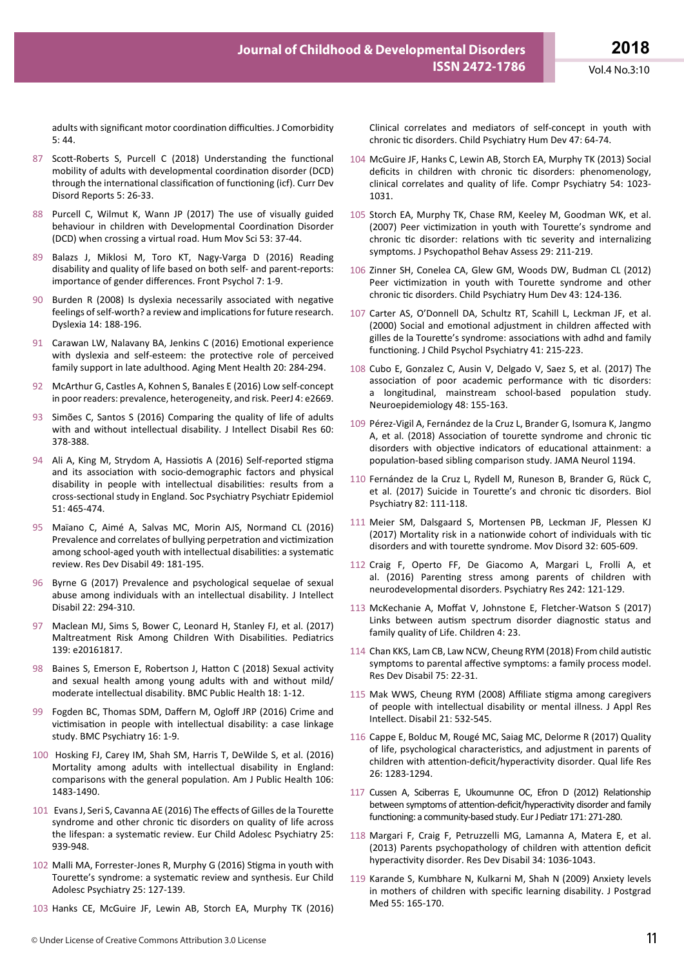adults with significant motor coordination difficulties. J Comorbidity 5: 44.

- 87 Scott-Roberts S, Purcell C (2018) Understanding the functional mobility of adults with developmental coordination disorder (DCD) through the international classification of functioning (icf). Curr Dev Disord Reports 5: 26-33.
- 88 Purcell C, Wilmut K, Wann JP (2017) The use of visually guided behaviour in children with Developmental Coordination Disorder (DCD) when crossing a virtual road. Hum Mov Sci 53: 37-44.
- 89 Balazs J, Miklosi M, Toro KT, Nagy-Varga D (2016) Reading disability and quality of life based on both self- and parent-reports: importance of gender differences. Front Psychol 7: 1-9.
- 90 Burden R (2008) Is dyslexia necessarily associated with negative feelings of self-worth? a review and implications for future research. Dyslexia 14: 188-196.
- 91 Carawan LW, Nalavany BA, Jenkins C (2016) Emotional experience with dyslexia and self-esteem: the protective role of perceived family support in late adulthood. Aging Ment Health 20: 284-294.
- 92 McArthur G, Castles A, Kohnen S, Banales E (2016) Low self-concept in poor readers: prevalence, heterogeneity, and risk. PeerJ 4: e2669.
- 93 Simões C, Santos S (2016) Comparing the quality of life of adults with and without intellectual disability. J Intellect Disabil Res 60: 378-388.
- 94 Ali A, King M, Strydom A, Hassiotis A (2016) Self-reported stigma and its association with socio-demographic factors and physical disability in people with intellectual disabilities: results from a cross-sectional study in England. Soc Psychiatry Psychiatr Epidemiol 51: 465-474.
- 95 Maïano C, Aimé A, Salvas MC, Morin AJS, Normand CL (2016) Prevalence and correlates of bullying perpetration and victimization among school-aged youth with intellectual disabilities: a systematic review. Res Dev Disabil 49: 181-195.
- 96 Byrne G (2017) Prevalence and psychological sequelae of sexual abuse among individuals with an intellectual disability. J Intellect Disabil 22: 294-310.
- 97 Maclean MJ, Sims S, Bower C, Leonard H, Stanley FJ, et al. (2017) Maltreatment Risk Among Children With Disabilities. Pediatrics 139: e20161817.
- 98 Baines S, Emerson E, Robertson J, Hatton C (2018) Sexual activity and sexual health among young adults with and without mild/ moderate intellectual disability. BMC Public Health 18: 1-12.
- 99 Fogden BC, Thomas SDM, Daffern M, Ogloff JRP (2016) Crime and victimisation in people with intellectual disability: a case linkage study. BMC Psychiatry 16: 1-9.
- 100 Hosking FJ, Carey IM, Shah SM, Harris T, DeWilde S, et al. (2016) Mortality among adults with intellectual disability in England: comparisons with the general population. Am J Public Health 106: 1483-1490.
- 101 Evans J, Seri S, Cavanna AE (2016) The effects of Gilles de la Tourette syndrome and other chronic tic disorders on quality of life across the lifespan: a systematic review. Eur Child Adolesc Psychiatry 25: 939-948.
- 102 Malli MA, Forrester-Jones R, Murphy G (2016) Stigma in youth with Tourette's syndrome: a systematic review and synthesis. Eur Child Adolesc Psychiatry 25: 127-139.
- 103 Hanks CE, McGuire JF, Lewin AB, Storch EA, Murphy TK (2016)

Clinical correlates and mediators of self-concept in youth with chronic tic disorders. Child Psychiatry Hum Dev 47: 64-74.

- 104 McGuire JF, Hanks C, Lewin AB, Storch EA, Murphy TK (2013) Social deficits in children with chronic tic disorders: phenomenology, clinical correlates and quality of life. Compr Psychiatry 54: 1023- 1031.
- 105 Storch EA, Murphy TK, Chase RM, Keeley M, Goodman WK, et al. (2007) Peer victimization in youth with Tourette's syndrome and chronic tic disorder: relations with tic severity and internalizing symptoms. J Psychopathol Behav Assess 29: 211-219.
- 106 Zinner SH, Conelea CA, Glew GM, Woods DW, Budman CL (2012) Peer victimization in youth with Tourette syndrome and other chronic tic disorders. Child Psychiatry Hum Dev 43: 124-136.
- 107 Carter AS, O'Donnell DA, Schultz RT, Scahill L, Leckman JF, et al. (2000) Social and emotional adjustment in children affected with gilles de la Tourette's syndrome: associations with adhd and family functioning. J Child Psychol Psychiatry 41: 215-223.
- 108 Cubo E, Gonzalez C, Ausin V, Delgado V, Saez S, et al. (2017) The association of poor academic performance with tic disorders: a longitudinal, mainstream school-based population study. Neuroepidemiology 48: 155-163.
- 109 Pérez-Vigil A, Fernández de la Cruz L, Brander G, Isomura K, Jangmo A, et al. (2018) Association of tourette syndrome and chronic tic disorders with objective indicators of educational attainment: a population-based sibling comparison study. JAMA Neurol 1194.
- 110 Fernández de la Cruz L, Rydell M, Runeson B, Brander G, Rück C, et al. (2017) Suicide in Tourette's and chronic tic disorders. Biol Psychiatry 82: 111-118.
- 111 Meier SM, Dalsgaard S, Mortensen PB, Leckman JF, Plessen KJ (2017) Mortality risk in a nationwide cohort of individuals with tic disorders and with tourette syndrome. Mov Disord 32: 605-609.
- 112 Craig F, Operto FF, De Giacomo A, Margari L, Frolli A, et al. (2016) Parenting stress among parents of children with neurodevelopmental disorders. Psychiatry Res 242: 121-129.
- 113 McKechanie A, Moffat V, Johnstone E, Fletcher-Watson S (2017) Links between autism spectrum disorder diagnostic status and family quality of Life. Children 4: 23.
- 114 Chan KKS, Lam CB, Law NCW, Cheung RYM (2018) From child autistic symptoms to parental affective symptoms: a family process model. Res Dev Disabil 75: 22-31.
- 115 Mak WWS, Cheung RYM (2008) Affiliate stigma among caregivers of people with intellectual disability or mental illness. J Appl Res Intellect. Disabil 21: 532-545.
- 116 Cappe E, Bolduc M, Rougé MC, Saiag MC, Delorme R (2017) Quality of life, psychological characteristics, and adjustment in parents of children with attention-deficit/hyperactivity disorder. Qual life Res 26: 1283-1294.
- 117 Cussen A, Sciberras E, Ukoumunne OC, Efron D (2012) Relationship between symptoms of attention-deficit/hyperactivity disorder and family functioning: a community-based study. Eur J Pediatr 171: 271-280.
- 118 Margari F, Craig F, Petruzzelli MG, Lamanna A, Matera E, et al. (2013) Parents psychopathology of children with attention deficit hyperactivity disorder. Res Dev Disabil 34: 1036-1043.
- 119 Karande S, Kumbhare N, Kulkarni M, Shah N (2009) Anxiety levels in mothers of children with specific learning disability. J Postgrad Med 55: 165-170.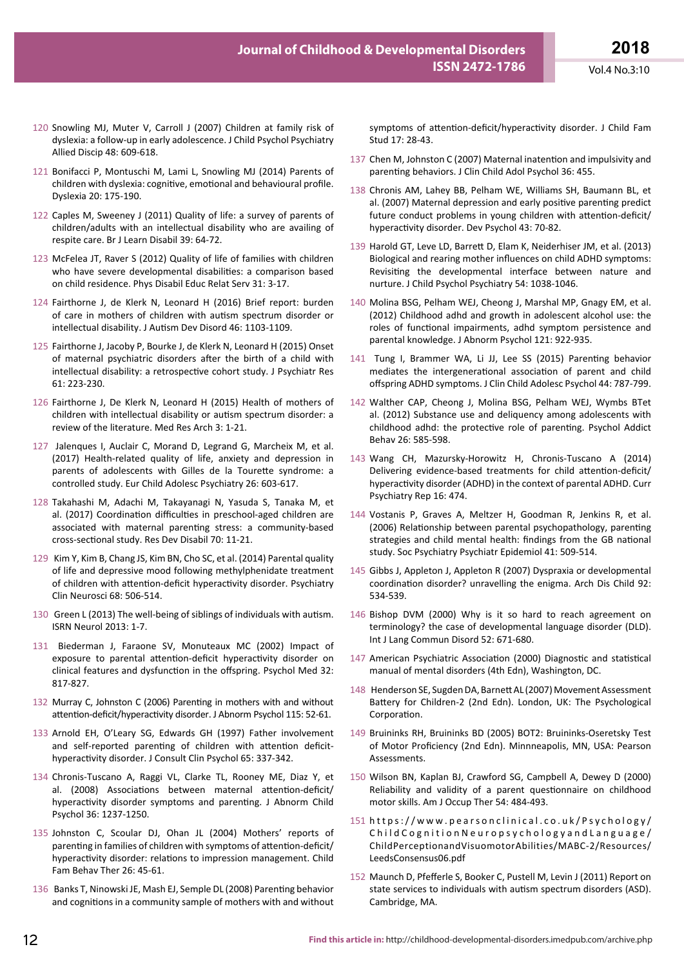- 120 Snowling MJ, Muter V, Carroll J (2007) Children at family risk of dyslexia: a follow-up in early adolescence. J Child Psychol Psychiatry Allied Discip 48: 609-618.
- 121 Bonifacci P, Montuschi M, Lami L, Snowling MJ (2014) Parents of children with dyslexia: cognitive, emotional and behavioural profile. Dyslexia 20: 175-190.
- 122 Caples M, Sweeney J (2011) Quality of life: a survey of parents of children/adults with an intellectual disability who are availing of respite care. Br J Learn Disabil 39: 64-72.
- 123 McFelea JT, Raver S (2012) Quality of life of families with children who have severe developmental disabilities: a comparison based on child residence. Phys Disabil Educ Relat Serv 31: 3-17.
- 124 Fairthorne J, de Klerk N, Leonard H (2016) Brief report: burden of care in mothers of children with autism spectrum disorder or intellectual disability. J Autism Dev Disord 46: 1103-1109.
- 125 Fairthorne J, Jacoby P, Bourke J, de Klerk N, Leonard H (2015) Onset of maternal psychiatric disorders after the birth of a child with intellectual disability: a retrospective cohort study. J Psychiatr Res 61: 223-230.
- 126 Fairthorne J, De Klerk N, Leonard H (2015) Health of mothers of children with intellectual disability or autism spectrum disorder: a review of the literature. Med Res Arch 3: 1-21.
- 127 Jalenques I, Auclair C, Morand D, Legrand G, Marcheix M, et al. (2017) Health-related quality of life, anxiety and depression in parents of adolescents with Gilles de la Tourette syndrome: a controlled study. Eur Child Adolesc Psychiatry 26: 603-617.
- 128 Takahashi M, Adachi M, Takayanagi N, Yasuda S, Tanaka M, et al. (2017) Coordination difficulties in preschool-aged children are associated with maternal parenting stress: a community-based cross-sectional study. Res Dev Disabil 70: 11-21.
- 129 Kim Y, Kim B, Chang JS, Kim BN, Cho SC, et al. (2014) Parental quality of life and depressive mood following methylphenidate treatment of children with attention-deficit hyperactivity disorder. Psychiatry Clin Neurosci 68: 506-514.
- 130 Green L (2013) The well-being of siblings of individuals with autism. ISRN Neurol 2013: 1-7.
- 131 Biederman J, Faraone SV, Monuteaux MC (2002) Impact of exposure to parental attention-deficit hyperactivity disorder on clinical features and dysfunction in the offspring. Psychol Med 32: 817-827.
- 132 Murray C, Johnston C (2006) Parenting in mothers with and without attention-deficit/hyperactivity disorder. J Abnorm Psychol 115: 52-61.
- 133 Arnold EH, O'Leary SG, Edwards GH (1997) Father involvement and self-reported parenting of children with attention deficithyperactivity disorder. J Consult Clin Psychol 65: 337-342.
- 134 Chronis-Tuscano A, Raggi VL, Clarke TL, Rooney ME, Diaz Y, et al. (2008) Associations between maternal attention-deficit/ hyperactivity disorder symptoms and parenting. J Abnorm Child Psychol 36: 1237-1250.
- 135 Johnston C, Scoular DJ, Ohan JL (2004) Mothers' reports of parenting in families of children with symptoms of attention-deficit/ hyperactivity disorder: relations to impression management. Child Fam Behav Ther 26: 45-61.
- 136 Banks T, Ninowski JE, Mash EJ, Semple DL (2008) Parenting behavior and cognitions in a community sample of mothers with and without

symptoms of attention-deficit/hyperactivity disorder. J Child Fam Stud 17: 28-43.

- 137 Chen M, Johnston C (2007) Maternal inatention and impulsivity and parenting behaviors. J Clin Child Adol Psychol 36: 455.
- 138 Chronis AM, Lahey BB, Pelham WE, Williams SH, Baumann BL, et al. (2007) Maternal depression and early positive parenting predict future conduct problems in young children with attention-deficit/ hyperactivity disorder. Dev Psychol 43: 70-82.
- 139 Harold GT, Leve LD, Barrett D, Elam K, Neiderhiser JM, et al. (2013) Biological and rearing mother influences on child ADHD symptoms: Revisiting the developmental interface between nature and nurture. J Child Psychol Psychiatry 54: 1038-1046.
- 140 Molina BSG, Pelham WEJ, Cheong J, Marshal MP, Gnagy EM, et al. (2012) Childhood adhd and growth in adolescent alcohol use: the roles of functional impairments, adhd symptom persistence and parental knowledge. J Abnorm Psychol 121: 922-935.
- 141 Tung I, Brammer WA, Li JJ, Lee SS (2015) Parenting behavior mediates the intergenerational association of parent and child offspring ADHD symptoms. J Clin Child Adolesc Psychol 44: 787-799.
- 142 Walther CAP, Cheong J, Molina BSG, Pelham WEJ, Wymbs BTet al. (2012) Substance use and deliquency among adolescents with childhood adhd: the protective role of parenting. Psychol Addict Behav 26: 585-598.
- 143 Wang CH, Mazursky-Horowitz H, Chronis-Tuscano A (2014) Delivering evidence-based treatments for child attention-deficit/ hyperactivity disorder (ADHD) in the context of parental ADHD. Curr Psychiatry Rep 16: 474.
- 144 Vostanis P, Graves A, Meltzer H, Goodman R, Jenkins R, et al. (2006) Relationship between parental psychopathology, parenting strategies and child mental health: findings from the GB national study. Soc Psychiatry Psychiatr Epidemiol 41: 509-514.
- 145 Gibbs J, Appleton J, Appleton R (2007) Dyspraxia or developmental coordination disorder? unravelling the enigma. Arch Dis Child 92: 534-539.
- 146 Bishop DVM (2000) Why is it so hard to reach agreement on terminology? the case of developmental language disorder (DLD). Int J Lang Commun Disord 52: 671-680.
- 147 American Psychiatric Association (2000) Diagnostic and statistical manual of mental disorders (4th Edn), Washington, DC.
- 148 Henderson SE, Sugden DA, Barnett AL (2007) Movement Assessment Battery for Children-2 (2nd Edn). London, UK: The Psychological Corporation.
- 149 Bruininks RH, Bruininks BD (2005) BOT2: Bruininks-Oseretsky Test of Motor Proficiency (2nd Edn). Minnneapolis, MN, USA: Pearson Assessments.
- 150 Wilson BN, Kaplan BJ, Crawford SG, Campbell A, Dewey D (2000) Reliability and validity of a parent questionnaire on childhood motor skills. Am J Occup Ther 54: 484-493.
- 151 https://www.pearsonclinical.co.uk/Psychology/ ChildCognitionNeuropsychologyandLanguage/ ChildPerceptionandVisuomotorAbilities/MABC-2/Resources/ LeedsConsensus06.pdf
- 152 Maunch D, Pfefferle S, Booker C, Pustell M, Levin J (2011) Report on state services to individuals with autism spectrum disorders (ASD). Cambridge, MA.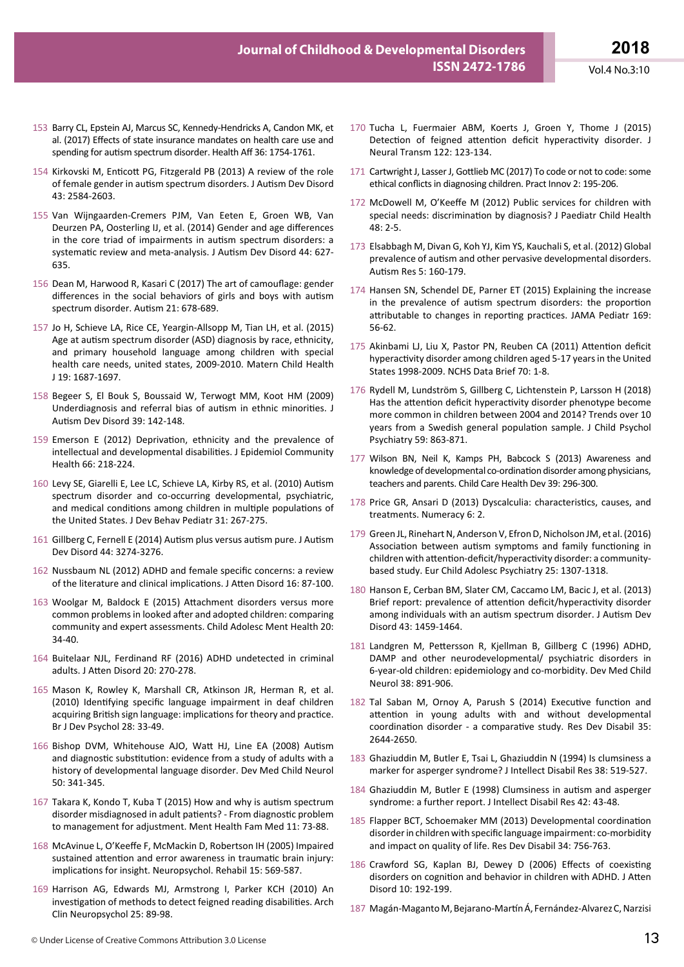- 153 Barry CL, Epstein AJ, Marcus SC, Kennedy-Hendricks A, Candon MK, et al. (2017) Effects of state insurance mandates on health care use and spending for autism spectrum disorder. Health Aff 36: 1754-1761.
- 154 Kirkovski M, Enticott PG, Fitzgerald PB (2013) A review of the role of female gender in autism spectrum disorders. J Autism Dev Disord 43: 2584-2603.
- 155 Van Wijngaarden-Cremers PJM, Van Eeten E, Groen WB, Van Deurzen PA, Oosterling IJ, et al. (2014) Gender and age differences in the core triad of impairments in autism spectrum disorders: a systematic review and meta-analysis. J Autism Dev Disord 44: 627- 635.
- 156 Dean M, Harwood R, Kasari C (2017) The art of camouflage: gender differences in the social behaviors of girls and boys with autism spectrum disorder. Autism 21: 678-689.
- 157 Jo H, Schieve LA, Rice CE, Yeargin-Allsopp M, Tian LH, et al. (2015) Age at autism spectrum disorder (ASD) diagnosis by race, ethnicity, and primary household language among children with special health care needs, united states, 2009-2010. Matern Child Health J 19: 1687-1697.
- 158 Begeer S, El Bouk S, Boussaid W, Terwogt MM, Koot HM (2009) Underdiagnosis and referral bias of autism in ethnic minorities. J Autism Dev Disord 39: 142-148.
- 159 Emerson E (2012) Deprivation, ethnicity and the prevalence of intellectual and developmental disabilities. J Epidemiol Community Health 66: 218-224.
- 160 Levy SE, Giarelli E, Lee LC, Schieve LA, Kirby RS, et al. (2010) Autism spectrum disorder and co-occurring developmental, psychiatric, and medical conditions among children in multiple populations of the United States. J Dev Behav Pediatr 31: 267-275.
- 161 Gillberg C, Fernell E (2014) Autism plus versus autism pure. J Autism Dev Disord 44: 3274-3276.
- 162 Nussbaum NL (2012) ADHD and female specific concerns: a review of the literature and clinical implications. J Atten Disord 16: 87-100.
- 163 Woolgar M, Baldock E (2015) Attachment disorders versus more common problems in looked after and adopted children: comparing community and expert assessments. Child Adolesc Ment Health 20: 34-40.
- 164 Buitelaar NJL, Ferdinand RF (2016) ADHD undetected in criminal adults. J Atten Disord 20: 270-278.
- 165 Mason K, Rowley K, Marshall CR, Atkinson JR, Herman R, et al. (2010) Identifying specific language impairment in deaf children acquiring British sign language: implications for theory and practice. Br J Dev Psychol 28: 33-49.
- 166 Bishop DVM, Whitehouse AJO, Watt HJ, Line EA (2008) Autism and diagnostic substitution: evidence from a study of adults with a history of developmental language disorder. Dev Med Child Neurol 50: 341-345.
- 167 Takara K, Kondo T, Kuba T (2015) How and why is autism spectrum disorder misdiagnosed in adult patients? - From diagnostic problem to management for adjustment. Ment Health Fam Med 11: 73-88.
- 168 McAvinue L, O'Keeffe F, McMackin D, Robertson IH (2005) Impaired sustained attention and error awareness in traumatic brain injury: implications for insight. Neuropsychol. Rehabil 15: 569-587.
- 169 Harrison AG, Edwards MJ, Armstrong I, Parker KCH (2010) An investigation of methods to detect feigned reading disabilities. Arch Clin Neuropsychol 25: 89-98.
- 170 Tucha L, Fuermaier ABM, Koerts J, Groen Y, Thome J (2015) Detection of feigned attention deficit hyperactivity disorder. J Neural Transm 122: 123-134.
- 171 Cartwright J, Lasser J, Gottlieb MC (2017) To code or not to code: some ethical conflicts in diagnosing children. Pract Innov 2: 195-206.
- 172 McDowell M, O'Keeffe M (2012) Public services for children with special needs: discrimination by diagnosis? J Paediatr Child Health 48: 2-5.
- 173 Elsabbagh M, Divan G, Koh YJ, Kim YS, Kauchali S, et al. (2012) Global prevalence of autism and other pervasive developmental disorders. Autism Res 5: 160-179.
- 174 Hansen SN, Schendel DE, Parner ET (2015) Explaining the increase in the prevalence of autism spectrum disorders: the proportion attributable to changes in reporting practices. JAMA Pediatr 169: 56-62.
- 175 Akinbami LJ, Liu X, Pastor PN, Reuben CA (2011) Attention deficit hyperactivity disorder among children aged 5-17 years in the United States 1998-2009. NCHS Data Brief 70: 1-8.
- 176 Rydell M, Lundström S, Gillberg C, Lichtenstein P, Larsson H (2018) Has the attention deficit hyperactivity disorder phenotype become more common in children between 2004 and 2014? Trends over 10 years from a Swedish general population sample. J Child Psychol Psychiatry 59: 863-871.
- 177 Wilson BN, Neil K, Kamps PH, Babcock S (2013) Awareness and knowledge of developmental co-ordination disorder among physicians, teachers and parents. Child Care Health Dev 39: 296-300.
- 178 Price GR, Ansari D (2013) Dyscalculia: characteristics, causes, and treatments. Numeracy 6: 2.
- 179 Green JL, Rinehart N, Anderson V, Efron D, Nicholson JM, et al. (2016) Association between autism symptoms and family functioning in children with attention-deficit/hyperactivity disorder: a communitybased study. Eur Child Adolesc Psychiatry 25: 1307-1318.
- 180 Hanson E, Cerban BM, Slater CM, Caccamo LM, Bacic J, et al. (2013) Brief report: prevalence of attention deficit/hyperactivity disorder among individuals with an autism spectrum disorder. J Autism Dev Disord 43: 1459-1464.
- 181 Landgren M, Pettersson R, Kjellman B, Gillberg C (1996) ADHD, DAMP and other neurodevelopmental/ psychiatric disorders in 6-year-old children: epidemiology and co-morbidity. Dev Med Child Neurol 38: 891-906.
- 182 Tal Saban M, Ornoy A, Parush S (2014) Executive function and attention in young adults with and without developmental coordination disorder - a comparative study. Res Dev Disabil 35: 2644-2650.
- 183 Ghaziuddin M, Butler E, Tsai L, Ghaziuddin N (1994) Is clumsiness a marker for asperger syndrome? J Intellect Disabil Res 38: 519-527.
- 184 Ghaziuddin M, Butler E (1998) Clumsiness in autism and asperger syndrome: a further report. J Intellect Disabil Res 42: 43-48.
- 185 Flapper BCT, Schoemaker MM (2013) Developmental coordination disorder in children with specific language impairment: co-morbidity and impact on quality of life. Res Dev Disabil 34: 756-763.
- 186 Crawford SG, Kaplan BJ, Dewey D (2006) Effects of coexisting disorders on cognition and behavior in children with ADHD. J Atten Disord 10: 192-199.
- 187 Magán-Maganto M, Bejarano-Martín Á, Fernández-Alvarez C, Narzisi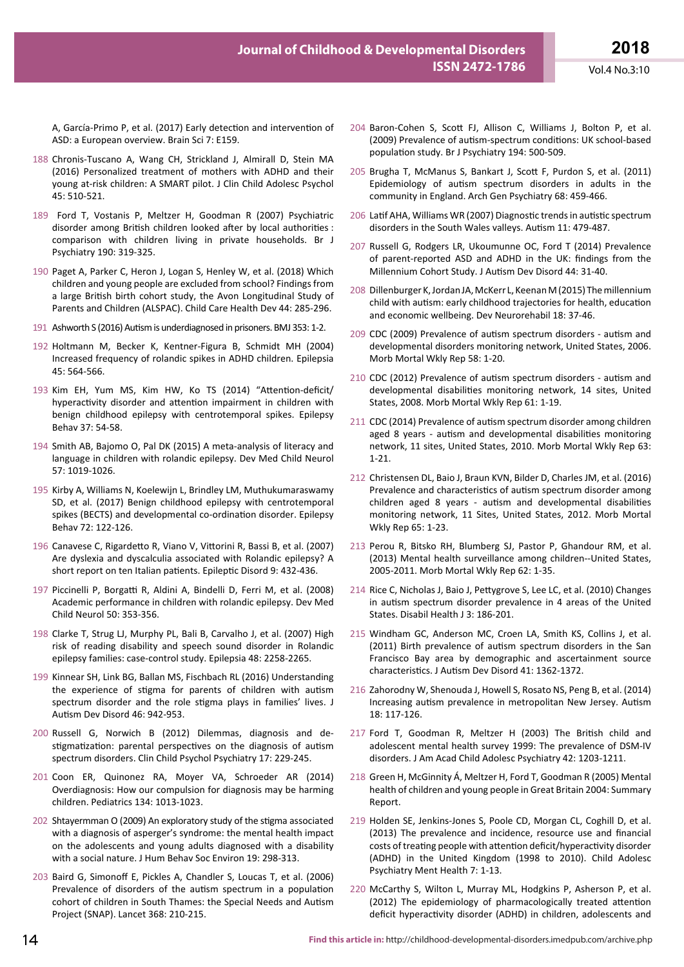A, García-Primo P, et al. (2017) Early detection and intervention of ASD: a European overview. Brain Sci 7: E159.

- 188 Chronis-Tuscano A, Wang CH, Strickland J, Almirall D, Stein MA (2016) Personalized treatment of mothers with ADHD and their young at-risk children: A SMART pilot. J Clin Child Adolesc Psychol 45: 510-521.
- 189 Ford T, Vostanis P, Meltzer H, Goodman R (2007) Psychiatric disorder among British children looked after by local authorities : comparison with children living in private households. Br J Psychiatry 190: 319-325.
- 190 Paget A, Parker C, Heron J, Logan S, Henley W, et al. (2018) Which children and young people are excluded from school? Findings from a large British birth cohort study, the Avon Longitudinal Study of Parents and Children (ALSPAC). Child Care Health Dev 44: 285-296.
- 191 Ashworth S (2016) Autism is underdiagnosed in prisoners. BMJ 353: 1-2.
- 192 Holtmann M, Becker K, Kentner-Figura B, Schmidt MH (2004) Increased frequency of rolandic spikes in ADHD children. Epilepsia 45: 564-566.
- 193 Kim EH, Yum MS, Kim HW, Ko TS (2014) "Attention-deficit/ hyperactivity disorder and attention impairment in children with benign childhood epilepsy with centrotemporal spikes. Epilepsy Behav 37: 54-58.
- 194 Smith AB, Bajomo O, Pal DK (2015) A meta-analysis of literacy and language in children with rolandic epilepsy. Dev Med Child Neurol 57: 1019-1026.
- 195 Kirby A, Williams N, Koelewijn L, Brindley LM, Muthukumaraswamy SD, et al. (2017) Benign childhood epilepsy with centrotemporal spikes (BECTS) and developmental co-ordination disorder. Epilepsy Behav 72: 122-126.
- 196 Canavese C, Rigardetto R, Viano V, Vittorini R, Bassi B, et al. (2007) Are dyslexia and dyscalculia associated with Rolandic epilepsy? A short report on ten Italian patients. Epileptic Disord 9: 432-436.
- 197 Piccinelli P, Borgatti R, Aldini A, Bindelli D, Ferri M, et al. (2008) Academic performance in children with rolandic epilepsy. Dev Med Child Neurol 50: 353-356.
- 198 Clarke T, Strug LJ, Murphy PL, Bali B, Carvalho J, et al. (2007) High risk of reading disability and speech sound disorder in Rolandic epilepsy families: case-control study. Epilepsia 48: 2258-2265.
- 199 Kinnear SH, Link BG, Ballan MS, Fischbach RL (2016) Understanding the experience of stigma for parents of children with autism spectrum disorder and the role stigma plays in families' lives. J Autism Dev Disord 46: 942-953.
- 200 Russell G, Norwich B (2012) Dilemmas, diagnosis and destigmatization: parental perspectives on the diagnosis of autism spectrum disorders. Clin Child Psychol Psychiatry 17: 229-245.
- 201 Coon ER, Quinonez RA, Moyer VA, Schroeder AR (2014) Overdiagnosis: How our compulsion for diagnosis may be harming children. Pediatrics 134: 1013-1023.
- 202 Shtayermman O (2009) An exploratory study of the stigma associated with a diagnosis of asperger's syndrome: the mental health impact on the adolescents and young adults diagnosed with a disability with a social nature. J Hum Behav Soc Environ 19: 298-313.
- 203 Baird G, Simonoff E, Pickles A, Chandler S, Loucas T, et al. (2006) Prevalence of disorders of the autism spectrum in a population cohort of children in South Thames: the Special Needs and Autism Project (SNAP). Lancet 368: 210-215.
- 204 Baron-Cohen S, Scott FJ, Allison C, Williams J, Bolton P, et al. (2009) Prevalence of autism-spectrum conditions: UK school-based population study. Br J Psychiatry 194: 500-509.
- 205 Brugha T, McManus S, Bankart J, Scott F, Purdon S, et al. (2011) Epidemiology of autism spectrum disorders in adults in the community in England. Arch Gen Psychiatry 68: 459-466.
- 206 Latif AHA, Williams WR (2007) Diagnostic trends in autistic spectrum disorders in the South Wales valleys. Autism 11: 479-487.
- 207 Russell G, Rodgers LR, Ukoumunne OC, Ford T (2014) Prevalence of parent-reported ASD and ADHD in the UK: findings from the Millennium Cohort Study. J Autism Dev Disord 44: 31-40.
- 208 Dillenburger K, Jordan JA, McKerr L, Keenan M (2015) The millennium child with autism: early childhood trajectories for health, education and economic wellbeing. Dev Neurorehabil 18: 37-46.
- 209 CDC (2009) Prevalence of autism spectrum disorders autism and developmental disorders monitoring network, United States, 2006. Morb Mortal Wkly Rep 58: 1-20.
- 210 CDC (2012) Prevalence of autism spectrum disorders autism and developmental disabilities monitoring network, 14 sites, United States, 2008. Morb Mortal Wkly Rep 61: 1-19.
- 211 CDC (2014) Prevalence of autism spectrum disorder among children aged 8 years - autism and developmental disabilities monitoring network, 11 sites, United States, 2010. Morb Mortal Wkly Rep 63: 1-21.
- 212 Christensen DL, Baio J, Braun KVN, Bilder D, Charles JM, et al. (2016) Prevalence and characteristics of autism spectrum disorder among children aged 8 years - autism and developmental disabilities monitoring network, 11 Sites, United States, 2012. Morb Mortal Wkly Rep 65: 1-23.
- 213 Perou R, Bitsko RH, Blumberg SJ, Pastor P, Ghandour RM, et al. (2013) Mental health surveillance among children--United States, 2005-2011. Morb Mortal Wkly Rep 62: 1-35.
- 214 Rice C, Nicholas J, Baio J, Pettygrove S, Lee LC, et al. (2010) Changes in autism spectrum disorder prevalence in 4 areas of the United States. Disabil Health J 3: 186-201.
- 215 Windham GC, Anderson MC, Croen LA, Smith KS, Collins J, et al. (2011) Birth prevalence of autism spectrum disorders in the San Francisco Bay area by demographic and ascertainment source characteristics. J Autism Dev Disord 41: 1362-1372.
- 216 Zahorodny W, Shenouda J, Howell S, Rosato NS, Peng B, et al. (2014) Increasing autism prevalence in metropolitan New Jersey. Autism 18: 117-126.
- 217 Ford T, Goodman R, Meltzer H (2003) The British child and adolescent mental health survey 1999: The prevalence of DSM-IV disorders. J Am Acad Child Adolesc Psychiatry 42: 1203-1211.
- 218 Green H, McGinnity Á, Meltzer H, Ford T, Goodman R (2005) Mental health of children and young people in Great Britain 2004: Summary Report.
- 219 Holden SE, Jenkins-Jones S, Poole CD, Morgan CL, Coghill D, et al. (2013) The prevalence and incidence, resource use and financial costs of treating people with attention deficit/hyperactivity disorder (ADHD) in the United Kingdom (1998 to 2010). Child Adolesc Psychiatry Ment Health 7: 1-13.
- 220 McCarthy S, Wilton L, Murray ML, Hodgkins P, Asherson P, et al. (2012) The epidemiology of pharmacologically treated attention deficit hyperactivity disorder (ADHD) in children, adolescents and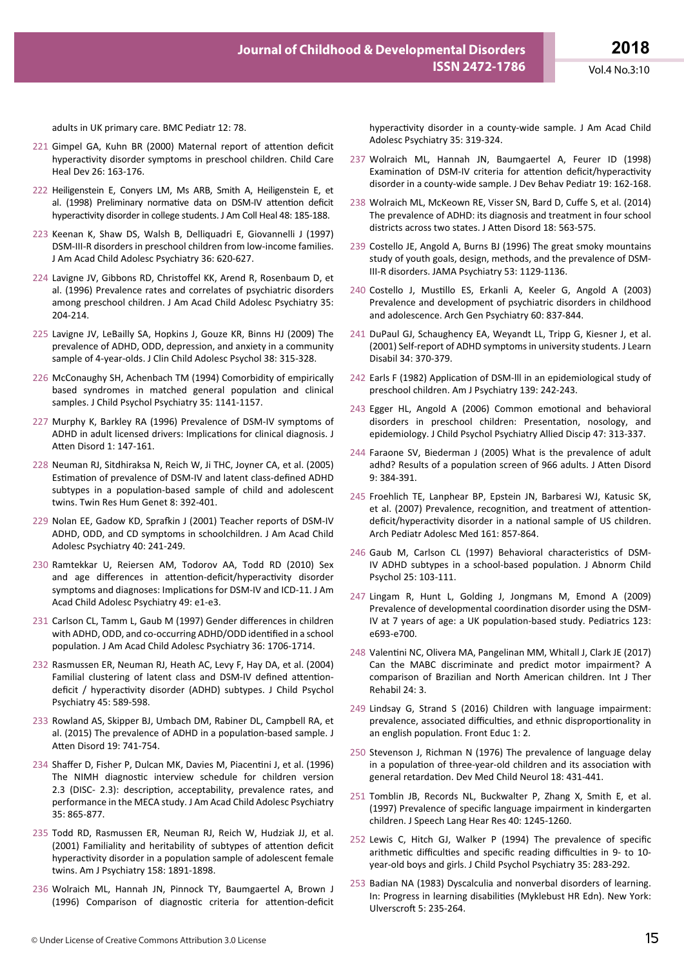Vol.4 No.3:10

adults in UK primary care. BMC Pediatr 12: 78.

- 221 Gimpel GA, Kuhn BR (2000) Maternal report of attention deficit hyperactivity disorder symptoms in preschool children. Child Care Heal Dev 26: 163-176.
- 222 Heiligenstein E, Conyers LM, Ms ARB, Smith A, Heiligenstein E, et al. (1998) Preliminary normative data on DSM-IV attention deficit hyperactivity disorder in college students. J Am Coll Heal 48: 185-188.
- 223 Keenan K, Shaw DS, Walsh B, Delliquadri E, Giovannelli J (1997) DSM-III-R disorders in preschool children from low-income families. J Am Acad Child Adolesc Psychiatry 36: 620-627.
- 224 Lavigne JV, Gibbons RD, Christoffel KK, Arend R, Rosenbaum D, et al. (1996) Prevalence rates and correlates of psychiatric disorders among preschool children. J Am Acad Child Adolesc Psychiatry 35: 204-214.
- 225 Lavigne JV, LeBailly SA, Hopkins J, Gouze KR, Binns HJ (2009) The prevalence of ADHD, ODD, depression, and anxiety in a community sample of 4-year-olds. J Clin Child Adolesc Psychol 38: 315-328.
- 226 McConaughy SH, Achenbach TM (1994) Comorbidity of empirically based syndromes in matched general population and clinical samples. J Child Psychol Psychiatry 35: 1141-1157.
- 227 Murphy K, Barkley RA (1996) Prevalence of DSM-IV symptoms of ADHD in adult licensed drivers: Implications for clinical diagnosis. J Atten Disord 1: 147-161.
- 228 Neuman RJ, Sitdhiraksa N, Reich W, Ji THC, Joyner CA, et al. (2005) Estimation of prevalence of DSM-IV and latent class-defined ADHD subtypes in a population-based sample of child and adolescent twins. Twin Res Hum Genet 8: 392-401.
- 229 Nolan EE, Gadow KD, Sprafkin J (2001) Teacher reports of DSM-IV ADHD, ODD, and CD symptoms in schoolchildren. J Am Acad Child Adolesc Psychiatry 40: 241-249.
- 230 Ramtekkar U, Reiersen AM, Todorov AA, Todd RD (2010) Sex and age differences in attention-deficit/hyperactivity disorder symptoms and diagnoses: Implications for DSM-IV and ICD-11. J Am Acad Child Adolesc Psychiatry 49: e1-e3.
- 231 Carlson CL, Tamm L, Gaub M (1997) Gender differences in children with ADHD, ODD, and co-occurring ADHD/ODD identified in a school population. J Am Acad Child Adolesc Psychiatry 36: 1706-1714.
- 232 Rasmussen ER, Neuman RJ, Heath AC, Levy F, Hay DA, et al. (2004) Familial clustering of latent class and DSM-IV defined attentiondeficit / hyperactivity disorder (ADHD) subtypes. J Child Psychol Psychiatry 45: 589-598.
- 233 Rowland AS, Skipper BJ, Umbach DM, Rabiner DL, Campbell RA, et al. (2015) The prevalence of ADHD in a population-based sample. J Atten Disord 19: 741-754.
- 234 Shaffer D, Fisher P, Dulcan MK, Davies M, Piacentini J, et al. (1996) The NIMH diagnostic interview schedule for children version 2.3 (DISC- 2.3): description, acceptability, prevalence rates, and performance in the MECA study. J Am Acad Child Adolesc Psychiatry 35: 865-877.
- 235 Todd RD, Rasmussen ER, Neuman RJ, Reich W, Hudziak JJ, et al. (2001) Familiality and heritability of subtypes of attention deficit hyperactivity disorder in a population sample of adolescent female twins. Am J Psychiatry 158: 1891-1898.
- 236 Wolraich ML, Hannah JN, Pinnock TY, Baumgaertel A, Brown J (1996) Comparison of diagnostic criteria for attention-deficit

hyperactivity disorder in a county-wide sample. J Am Acad Child Adolesc Psychiatry 35: 319-324.

- 237 Wolraich ML, Hannah JN, Baumgaertel A, Feurer ID (1998) Examination of DSM-IV criteria for attention deficit/hyperactivity disorder in a county-wide sample. J Dev Behav Pediatr 19: 162-168.
- 238 Wolraich ML, McKeown RE, Visser SN, Bard D, Cuffe S, et al. (2014) The prevalence of ADHD: its diagnosis and treatment in four school districts across two states. J Atten Disord 18: 563-575.
- 239 Costello JE, Angold A, Burns BJ (1996) The great smoky mountains study of youth goals, design, methods, and the prevalence of DSM-III-R disorders. JAMA Psychiatry 53: 1129-1136.
- 240 Costello J, Mustillo ES, Erkanli A, Keeler G, Angold A (2003) Prevalence and development of psychiatric disorders in childhood and adolescence. Arch Gen Psychiatry 60: 837-844.
- 241 DuPaul GJ, Schaughency EA, Weyandt LL, Tripp G, Kiesner J, et al. (2001) Self-report of ADHD symptoms in university students. J Learn Disabil 34: 370-379.
- 242 Earls F (1982) Application of DSM-lll in an epidemiological study of preschool children. Am J Psychiatry 139: 242-243.
- 243 Egger HL, Angold A (2006) Common emotional and behavioral disorders in preschool children: Presentation, nosology, and epidemiology. J Child Psychol Psychiatry Allied Discip 47: 313-337.
- 244 Faraone SV, Biederman J (2005) What is the prevalence of adult adhd? Results of a population screen of 966 adults. J Atten Disord 9: 384-391.
- 245 Froehlich TE, Lanphear BP, Epstein JN, Barbaresi WJ, Katusic SK, et al. (2007) Prevalence, recognition, and treatment of attentiondeficit/hyperactivity disorder in a national sample of US children. Arch Pediatr Adolesc Med 161: 857-864.
- 246 Gaub M, Carlson CL (1997) Behavioral characteristics of DSM-IV ADHD subtypes in a school-based population. J Abnorm Child Psychol 25: 103-111.
- 247 Lingam R, Hunt L, Golding J, Jongmans M, Emond A (2009) Prevalence of developmental coordination disorder using the DSM-IV at 7 years of age: a UK population-based study. Pediatrics 123: e693-e700.
- 248 Valentini NC, Olivera MA, Pangelinan MM, Whitall J, Clark JE (2017) Can the MABC discriminate and predict motor impairment? A comparison of Brazilian and North American children. Int J Ther Rehabil 24: 3.
- 249 Lindsay G, Strand S (2016) Children with language impairment: prevalence, associated difficulties, and ethnic disproportionality in an english population. Front Educ 1: 2.
- 250 Stevenson J, Richman N (1976) The prevalence of language delay in a population of three-year-old children and its association with general retardation. Dev Med Child Neurol 18: 431-441.
- 251 Tomblin JB, Records NL, Buckwalter P, Zhang X, Smith E, et al. (1997) Prevalence of specific language impairment in kindergarten children. J Speech Lang Hear Res 40: 1245-1260.
- 252 Lewis C, Hitch GJ, Walker P (1994) The prevalence of specific arithmetic difficulties and specific reading difficulties in 9‐ to 10‐ year‐old boys and girls. J Child Psychol Psychiatry 35: 283-292.
- 253 Badian NA (1983) Dyscalculia and nonverbal disorders of learning. In: Progress in learning disabilities (Myklebust HR Edn). New York: Ulverscroft 5: 235-264.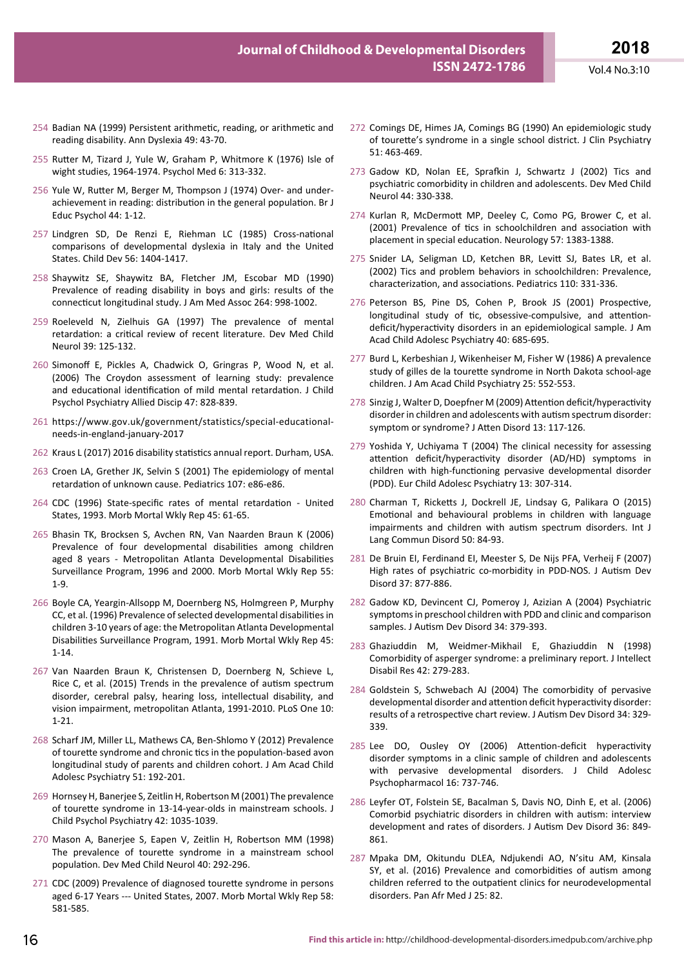- 254 Badian NA (1999) Persistent arithmetic, reading, or arithmetic and reading disability. Ann Dyslexia 49: 43-70.
- 255 Rutter M, Tizard J, Yule W, Graham P, Whitmore K (1976) Isle of wight studies, 1964-1974. Psychol Med 6: 313-332.
- 256 Yule W, Rutter M, Berger M, Thompson J (1974) Over- and underachievement in reading: distribution in the general population. Br J Educ Psychol 44: 1-12.
- 257 Lindgren SD, De Renzi E, Riehman LC (1985) Cross-national comparisons of developmental dyslexia in Italy and the United States. Child Dev 56: 1404-1417.
- 258 Shaywitz SE, Shaywitz BA, Fletcher JM, Escobar MD (1990) Prevalence of reading disability in boys and girls: results of the connecticut longitudinal study. J Am Med Assoc 264: 998-1002.
- 259 Roeleveld N, Zielhuis GA (1997) The prevalence of mental retardation: a critical review of recent literature. Dev Med Child Neurol 39: 125-132.
- 260 Simonoff E, Pickles A, Chadwick O, Gringras P, Wood N, et al. (2006) The Croydon assessment of learning study: prevalence and educational identification of mild mental retardation. J Child Psychol Psychiatry Allied Discip 47: 828-839.
- 261 https://www.gov.uk/government/statistics/special-educationalneeds-in-england-january-2017
- 262 Kraus L (2017) 2016 disability statistics annual report. Durham, USA.
- 263 Croen LA, Grether JK, Selvin S (2001) The epidemiology of mental retardation of unknown cause. Pediatrics 107: e86-e86.
- 264 CDC (1996) State-specific rates of mental retardation United States, 1993. Morb Mortal Wkly Rep 45: 61-65.
- 265 Bhasin TK, Brocksen S, Avchen RN, Van Naarden Braun K (2006) Prevalence of four developmental disabilities among children aged 8 years - Metropolitan Atlanta Developmental Disabilities Surveillance Program, 1996 and 2000. Morb Mortal Wkly Rep 55: 1-9.
- 266 Boyle CA, Yeargin-Allsopp M, Doernberg NS, Holmgreen P, Murphy CC, et al. (1996) Prevalence of selected developmental disabilities in children 3-10 years of age: the Metropolitan Atlanta Developmental Disabilities Surveillance Program, 1991. Morb Mortal Wkly Rep 45: 1-14.
- 267 Van Naarden Braun K, Christensen D, Doernberg N, Schieve L, Rice C, et al. (2015) Trends in the prevalence of autism spectrum disorder, cerebral palsy, hearing loss, intellectual disability, and vision impairment, metropolitan Atlanta, 1991-2010. PLoS One 10: 1-21.
- 268 Scharf JM, Miller LL, Mathews CA, Ben-Shlomo Y (2012) Prevalence of tourette syndrome and chronic tics in the population-based avon longitudinal study of parents and children cohort. J Am Acad Child Adolesc Psychiatry 51: 192-201.
- 269 Hornsey H, Banerjee S, Zeitlin H, Robertson M (2001) The prevalence of tourette syndrome in 13-14-year-olds in mainstream schools. J Child Psychol Psychiatry 42: 1035-1039.
- 270 Mason A, Banerjee S, Eapen V, Zeitlin H, Robertson MM (1998) The prevalence of tourette syndrome in a mainstream school population. Dev Med Child Neurol 40: 292-296.
- 271 CDC (2009) Prevalence of diagnosed tourette syndrome in persons aged 6-17 Years --- United States, 2007. Morb Mortal Wkly Rep 58: 581-585.
- 272 Comings DE, Himes JA, Comings BG (1990) An epidemiologic study of tourette's syndrome in a single school district. J Clin Psychiatry 51: 463-469.
- 273 Gadow KD, Nolan EE, Sprafkin J, Schwartz J (2002) Tics and psychiatric comorbidity in children and adolescents. Dev Med Child Neurol 44: 330-338.
- 274 Kurlan R, McDermott MP, Deeley C, Como PG, Brower C, et al. (2001) Prevalence of tics in schoolchildren and association with placement in special education. Neurology 57: 1383-1388.
- 275 Snider LA, Seligman LD, Ketchen BR, Levitt SJ, Bates LR, et al. (2002) Tics and problem behaviors in schoolchildren: Prevalence, characterization, and associations. Pediatrics 110: 331-336.
- 276 Peterson BS, Pine DS, Cohen P, Brook JS (2001) Prospective, longitudinal study of tic, obsessive-compulsive, and attentiondeficit/hyperactivity disorders in an epidemiological sample. J Am Acad Child Adolesc Psychiatry 40: 685-695.
- 277 Burd L, Kerbeshian J, Wikenheiser M, Fisher W (1986) A prevalence study of gilles de la tourette syndrome in North Dakota school-age children. J Am Acad Child Psychiatry 25: 552-553.
- 278 Sinzig J, Walter D, Doepfner M (2009) Attention deficit/hyperactivity disorder in children and adolescents with autism spectrum disorder: symptom or syndrome? J Atten Disord 13: 117-126.
- 279 Yoshida Y, Uchiyama T (2004) The clinical necessity for assessing attention deficit/hyperactivity disorder (AD/HD) symptoms in children with high-functioning pervasive developmental disorder (PDD). Eur Child Adolesc Psychiatry 13: 307-314.
- 280 Charman T, Ricketts J, Dockrell JE, Lindsay G, Palikara O (2015) Emotional and behavioural problems in children with language impairments and children with autism spectrum disorders. Int J Lang Commun Disord 50: 84-93.
- 281 De Bruin EI, Ferdinand EI, Meester S, De Nijs PFA, Verheij F (2007) High rates of psychiatric co-morbidity in PDD-NOS. J Autism Dev Disord 37: 877-886.
- 282 Gadow KD, Devincent CJ, Pomeroy J, Azizian A (2004) Psychiatric symptoms in preschool children with PDD and clinic and comparison samples. J Autism Dev Disord 34: 379-393.
- 283 Ghaziuddin M, Weidmer-Mikhail E, Ghaziuddin N (1998) Comorbidity of asperger syndrome: a preliminary report. J Intellect Disabil Res 42: 279-283.
- 284 Goldstein S, Schwebach AJ (2004) The comorbidity of pervasive developmental disorder and attention deficit hyperactivity disorder: results of a retrospective chart review. J Autism Dev Disord 34: 329- 339.
- 285 Lee DO, Ousley OY (2006) Attention-deficit hyperactivity disorder symptoms in a clinic sample of children and adolescents with pervasive developmental disorders. J Child Adolesc Psychopharmacol 16: 737-746.
- 286 Leyfer OT, Folstein SE, Bacalman S, Davis NO, Dinh E, et al. (2006) Comorbid psychiatric disorders in children with autism: interview development and rates of disorders. J Autism Dev Disord 36: 849- 861.
- 287 Mpaka DM, Okitundu DLEA, Ndjukendi AO, N'situ AM, Kinsala SY, et al. (2016) Prevalence and comorbidities of autism among children referred to the outpatient clinics for neurodevelopmental disorders. Pan Afr Med J 25: 82.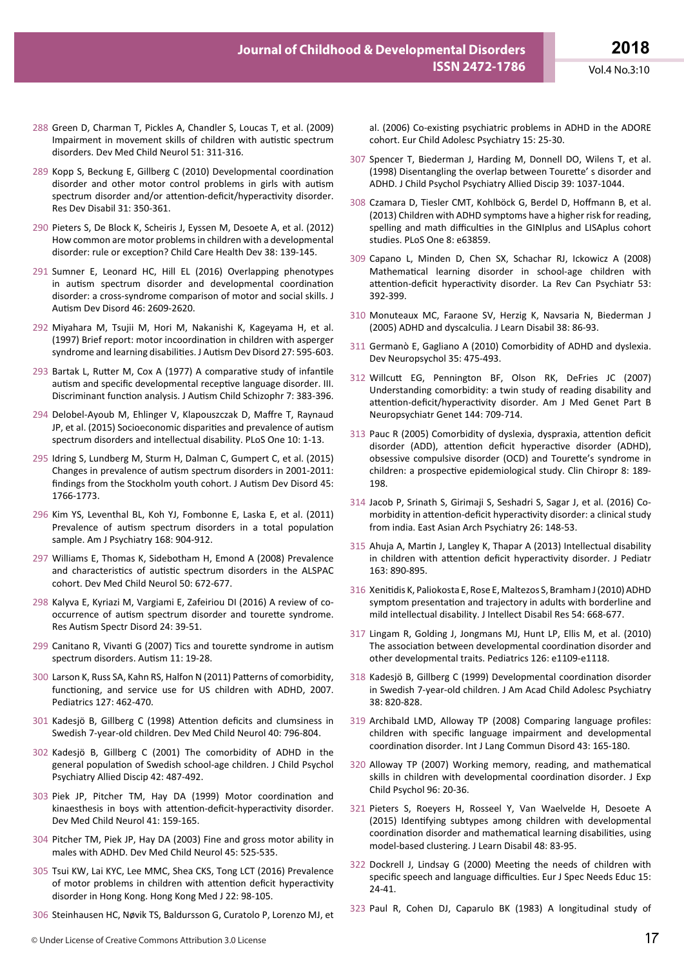al. (2006) Co-existing psychiatric problems in ADHD in the ADORE

- 288 Green D, Charman T, Pickles A, Chandler S, Loucas T, et al. (2009) Impairment in movement skills of children with autistic spectrum disorders. Dev Med Child Neurol 51: 311-316.
- 289 Kopp S, Beckung E, Gillberg C (2010) Developmental coordination disorder and other motor control problems in girls with autism spectrum disorder and/or attention-deficit/hyperactivity disorder. Res Dev Disabil 31: 350-361.
- 290 Pieters S, De Block K, Scheiris J, Eyssen M, Desoete A, et al. (2012) How common are motor problems in children with a developmental disorder: rule or exception? Child Care Health Dev 38: 139-145.
- 291 Sumner E, Leonard HC, Hill EL (2016) Overlapping phenotypes in autism spectrum disorder and developmental coordination disorder: a cross-syndrome comparison of motor and social skills. J Autism Dev Disord 46: 2609-2620.
- 292 Miyahara M, Tsujii M, Hori M, Nakanishi K, Kageyama H, et al. (1997) Brief report: motor incoordination in children with asperger syndrome and learning disabilities. J Autism Dev Disord 27: 595-603.
- 293 Bartak L, Rutter M, Cox A (1977) A comparative study of infantile autism and specific developmental receptive language disorder. III. Discriminant function analysis. J Autism Child Schizophr 7: 383-396.
- 294 Delobel-Ayoub M, Ehlinger V, Klapouszczak D, Maffre T, Raynaud JP, et al. (2015) Socioeconomic disparities and prevalence of autism spectrum disorders and intellectual disability. PLoS One 10: 1-13.
- 295 Idring S, Lundberg M, Sturm H, Dalman C, Gumpert C, et al. (2015) Changes in prevalence of autism spectrum disorders in 2001-2011: findings from the Stockholm youth cohort. J Autism Dev Disord 45: 1766-1773.
- 296 Kim YS, Leventhal BL, Koh YJ, Fombonne E, Laska E, et al. (2011) Prevalence of autism spectrum disorders in a total population sample. Am J Psychiatry 168: 904-912.
- 297 Williams E, Thomas K, Sidebotham H, Emond A (2008) Prevalence and characteristics of autistic spectrum disorders in the ALSPAC cohort. Dev Med Child Neurol 50: 672-677.
- 298 Kalyva E, Kyriazi M, Vargiami E, Zafeiriou DI (2016) A review of cooccurrence of autism spectrum disorder and tourette syndrome. Res Autism Spectr Disord 24: 39-51.
- 299 Canitano R, Vivanti G (2007) Tics and tourette syndrome in autism spectrum disorders. Autism 11: 19-28.
- 300 Larson K, Russ SA, Kahn RS, Halfon N (2011) Patterns of comorbidity, functioning, and service use for US children with ADHD, 2007. Pediatrics 127: 462-470.
- 301 Kadesjö B, Gillberg C (1998) Attention deficits and clumsiness in Swedish 7-year-old children. Dev Med Child Neurol 40: 796-804.
- 302 Kadesjö B, Gillberg C (2001) The comorbidity of ADHD in the general population of Swedish school-age children. J Child Psychol Psychiatry Allied Discip 42: 487-492.
- 303 Piek JP, Pitcher TM, Hay DA (1999) Motor coordination and kinaesthesis in boys with attention-deficit-hyperactivity disorder. Dev Med Child Neurol 41: 159-165.
- 304 Pitcher TM, Piek JP, Hay DA (2003) Fine and gross motor ability in males with ADHD. Dev Med Child Neurol 45: 525-535.
- 305 Tsui KW, Lai KYC, Lee MMC, Shea CKS, Tong LCT (2016) Prevalence of motor problems in children with attention deficit hyperactivity disorder in Hong Kong. Hong Kong Med J 22: 98-105.
- 306 Steinhausen HC, Nøvik TS, Baldursson G, Curatolo P, Lorenzo MJ, et
- cohort. Eur Child Adolesc Psychiatry 15: 25-30. 307 Spencer T, Biederman J, Harding M, Donnell DO, Wilens T, et al.
	- (1998) Disentangling the overlap between Tourette' s disorder and ADHD. J Child Psychol Psychiatry Allied Discip 39: 1037-1044.
	- 308 Czamara D, Tiesler CMT, Kohlböck G, Berdel D, Hoffmann B, et al. (2013) Children with ADHD symptoms have a higher risk for reading, spelling and math difficulties in the GINIplus and LISAplus cohort studies. PLoS One 8: e63859.
	- 309 Capano L, Minden D, Chen SX, Schachar RJ, Ickowicz A (2008) Mathematical learning disorder in school-age children with attention-deficit hyperactivity disorder. La Rev Can Psychiatr 53: 392-399.
	- 310 Monuteaux MC, Faraone SV, Herzig K, Navsaria N, Biederman J (2005) ADHD and dyscalculia. J Learn Disabil 38: 86-93.
	- 311 Germanò E, Gagliano A (2010) Comorbidity of ADHD and dyslexia. Dev Neuropsychol 35: 475-493.
	- 312 Willcutt EG, Pennington BF, Olson RK, DeFries JC (2007) Understanding comorbidity: a twin study of reading disability and attention-deficit/hyperactivity disorder. Am J Med Genet Part B Neuropsychiatr Genet 144: 709-714.
	- 313 Pauc R (2005) Comorbidity of dyslexia, dyspraxia, attention deficit disorder (ADD), attention deficit hyperactive disorder (ADHD), obsessive compulsive disorder (OCD) and Tourette's syndrome in children: a prospective epidemiological study. Clin Chiropr 8: 189- 198.
	- 314 Jacob P, Srinath S, Girimaji S, Seshadri S, Sagar J, et al. (2016) Comorbidity in attention-deficit hyperactivity disorder: a clinical study from india. East Asian Arch Psychiatry 26: 148-53.
	- 315 Ahuja A, Martin J, Langley K, Thapar A (2013) Intellectual disability in children with attention deficit hyperactivity disorder. J Pediatr 163: 890-895.
	- 316 Xenitidis K, Paliokosta E, Rose E, Maltezos S, Bramham J (2010) ADHD symptom presentation and trajectory in adults with borderline and mild intellectual disability. J Intellect Disabil Res 54: 668-677.
	- 317 Lingam R, Golding J, Jongmans MJ, Hunt LP, Ellis M, et al. (2010) The association between developmental coordination disorder and other developmental traits. Pediatrics 126: e1109-e1118.
	- 318 Kadesjö B, Gillberg C (1999) Developmental coordination disorder in Swedish 7-year-old children. J Am Acad Child Adolesc Psychiatry 38: 820-828.
	- 319 Archibald LMD, Alloway TP (2008) Comparing language profiles: children with specific language impairment and developmental coordination disorder. Int J Lang Commun Disord 43: 165-180.
	- 320 Alloway TP (2007) Working memory, reading, and mathematical skills in children with developmental coordination disorder. J Exp Child Psychol 96: 20-36.
	- 321 Pieters S, Roeyers H, Rosseel Y, Van Waelvelde H, Desoete A (2015) Identifying subtypes among children with developmental coordination disorder and mathematical learning disabilities, using model-based clustering. J Learn Disabil 48: 83-95.
	- 322 Dockrell J, Lindsay G (2000) Meeting the needs of children with specific speech and language difficulties. Eur J Spec Needs Educ 15: 24-41.
	- 323 Paul R, Cohen DJ, Caparulo BK (1983) A longitudinal study of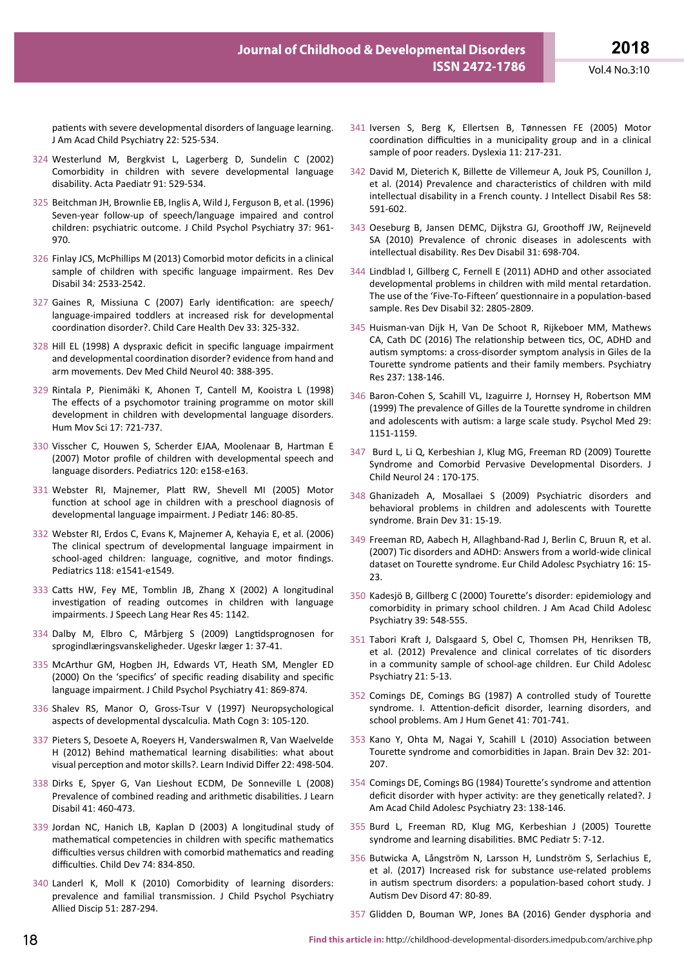patients with severe developmental disorders of language learning. J Am Acad Child Psychiatry 22: 525-534.

- 324 Westerlund M, Bergkvist L, Lagerberg D, Sundelin C (2002) Comorbidity in children with severe developmental language disability. Acta Paediatr 91: 529-534.
- 325 Beitchman JH, Brownlie EB, Inglis A, Wild J, Ferguson B, et al. (1996) Seven-year follow-up of speech/language impaired and control children: psychiatric outcome. J Child Psychol Psychiatry 37: 961- 970.
- 326 Finlay JCS, McPhillips M (2013) Comorbid motor deficits in a clinical sample of children with specific language impairment. Res Dev Disabil 34: 2533-2542.
- 327 Gaines R, Missiuna C (2007) Early identification: are speech/ language-impaired toddlers at increased risk for developmental coordination disorder?. Child Care Health Dev 33: 325-332.
- 328 Hill EL (1998) A dyspraxic deficit in specific language impairment and developmental coordination disorder? evidence from hand and arm movements. Dev Med Child Neurol 40: 388-395.
- 329 Rintala P, Pienimäki K, Ahonen T, Cantell M, Kooistra L (1998) The effects of a psychomotor training programme on motor skill development in children with developmental language disorders. Hum Mov Sci 17: 721-737.
- 330 Visscher C, Houwen S, Scherder EJAA, Moolenaar B, Hartman E (2007) Motor profile of children with developmental speech and language disorders. Pediatrics 120: e158-e163.
- 331 Webster RI, Majnemer, Platt RW, Shevell MI (2005) Motor function at school age in children with a preschool diagnosis of developmental language impairment. J Pediatr 146: 80-85.
- 332 Webster RI, Erdos C, Evans K, Majnemer A, Kehayia E, et al. (2006) The clinical spectrum of developmental language impairment in school-aged children: language, cognitive, and motor findings. Pediatrics 118: e1541-e1549.
- 333 Catts HW, Fey ME, Tomblin JB, Zhang X (2002) A longitudinal investigation of reading outcomes in children with language impairments. J Speech Lang Hear Res 45: 1142.
- 334 Dalby M, Elbro C, Mårbjerg S (2009) Langtidsprognosen for sprogindlæringsvanskeligheder. Ugeskr læger 1: 37-41.
- 335 McArthur GM, Hogben JH, Edwards VT, Heath SM, Mengler ED (2000) On the 'specifics' of specific reading disability and specific language impairment. J Child Psychol Psychiatry 41: 869-874.
- 336 Shalev RS, Manor O, Gross-Tsur V (1997) Neuropsychological aspects of developmental dyscalculia. Math Cogn 3: 105-120.
- 337 Pieters S, Desoete A, Roeyers H, Vanderswalmen R, Van Waelvelde H (2012) Behind mathematical learning disabilities: what about visual perception and motor skills?. Learn Individ Differ 22: 498-504.
- 338 Dirks E, Spyer G, Van Lieshout ECDM, De Sonneville L (2008) Prevalence of combined reading and arithmetic disabilities. J Learn Disabil 41: 460-473.
- 339 Jordan NC, Hanich LB, Kaplan D (2003) A longitudinal study of mathematical competencies in children with specific mathematics difficulties versus children with comorbid mathematics and reading difficulties. Child Dev 74: 834-850.
- 340 Landerl K, Moll K (2010) Comorbidity of learning disorders: prevalence and familial transmission. J Child Psychol Psychiatry Allied Discip 51: 287-294.
- 341 Iversen S, Berg K, Ellertsen B, Tønnessen FE (2005) Motor coordination difficulties in a municipality group and in a clinical sample of poor readers. Dyslexia 11: 217-231.
- 342 David M, Dieterich K, Billette de Villemeur A, Jouk PS, Counillon J, et al. (2014) Prevalence and characteristics of children with mild intellectual disability in a French county. J Intellect Disabil Res 58: 591-602.
- 343 Oeseburg B, Jansen DEMC, Dijkstra GJ, Groothoff JW, Reijneveld SA (2010) Prevalence of chronic diseases in adolescents with intellectual disability. Res Dev Disabil 31: 698-704.
- 344 Lindblad I, Gillberg C, Fernell E (2011) ADHD and other associated developmental problems in children with mild mental retardation. The use of the 'Five-To-Fifteen' questionnaire in a population-based sample. Res Dev Disabil 32: 2805-2809.
- 345 Huisman-van Dijk H, Van De Schoot R, Rijkeboer MM, Mathews CA, Cath DC (2016) The relationship between tics, OC, ADHD and autism symptoms: a cross-disorder symptom analysis in Giles de la Tourette syndrome patients and their family members. Psychiatry Res 237: 138-146.
- 346 Baron-Cohen S, Scahill VL, Izaguirre J, Hornsey H, Robertson MM (1999) The prevalence of Gilles de la Tourette syndrome in children and adolescents with autism: a large scale study. Psychol Med 29: 1151-1159.
- 347 Burd L, Li Q, Kerbeshian J, Klug MG, Freeman RD (2009) Tourette Syndrome and Comorbid Pervasive Developmental Disorders. J Child Neurol 24 : 170-175.
- 348 Ghanizadeh A, Mosallaei S (2009) Psychiatric disorders and behavioral problems in children and adolescents with Tourette syndrome. Brain Dev 31: 15-19.
- 349 Freeman RD, Aabech H, Allaghband-Rad J, Berlin C, Bruun R, et al. (2007) Tic disorders and ADHD: Answers from a world-wide clinical dataset on Tourette syndrome. Eur Child Adolesc Psychiatry 16: 15- 23.
- 350 Kadesjö B, Gillberg C (2000) Tourette's disorder: epidemiology and comorbidity in primary school children. J Am Acad Child Adolesc Psychiatry 39: 548-555.
- 351 Tabori Kraft J, Dalsgaard S, Obel C, Thomsen PH, Henriksen TB, et al. (2012) Prevalence and clinical correlates of tic disorders in a community sample of school-age children. Eur Child Adolesc Psychiatry 21: 5-13.
- 352 Comings DE, Comings BG (1987) A controlled study of Tourette syndrome. I. Attention-deficit disorder, learning disorders, and school problems. Am J Hum Genet 41: 701-741.
- 353 Kano Y, Ohta M, Nagai Y, Scahill L (2010) Association between Tourette syndrome and comorbidities in Japan. Brain Dev 32: 201- 207.
- 354 Comings DE, Comings BG (1984) Tourette's syndrome and attention deficit disorder with hyper activity: are they genetically related?. J Am Acad Child Adolesc Psychiatry 23: 138-146.
- 355 Burd L, Freeman RD, Klug MG, Kerbeshian J (2005) Tourette syndrome and learning disabilities. BMC Pediatr 5: 7-12.
- 356 Butwicka A, Långström N, Larsson H, Lundström S, Serlachius E, et al. (2017) Increased risk for substance use-related problems in autism spectrum disorders: a population-based cohort study. J Autism Dev Disord 47: 80-89.
- 357 Glidden D, Bouman WP, Jones BA (2016) Gender dysphoria and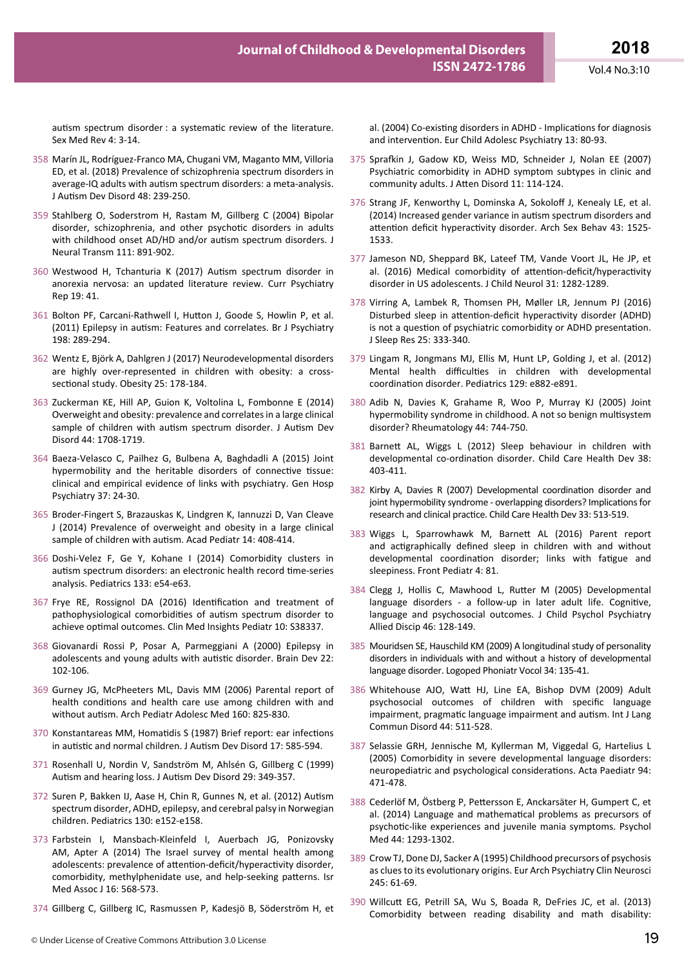autism spectrum disorder : a systematic review of the literature. Sex Med Rev 4: 3-14.

- 358 Marín JL, Rodríguez-Franco MA, Chugani VM, Maganto MM, Villoria ED, et al. (2018) Prevalence of schizophrenia spectrum disorders in average-IQ adults with autism spectrum disorders: a meta-analysis. J Autism Dev Disord 48: 239-250.
- 359 Stahlberg O, Soderstrom H, Rastam M, Gillberg C (2004) Bipolar disorder, schizophrenia, and other psychotic disorders in adults with childhood onset AD/HD and/or autism spectrum disorders. J Neural Transm 111: 891-902.
- 360 Westwood H, Tchanturia K (2017) Autism spectrum disorder in anorexia nervosa: an updated literature review. Curr Psychiatry Rep 19: 41.
- 361 Bolton PF, Carcani-Rathwell I, Hutton J, Goode S, Howlin P, et al. (2011) Epilepsy in autism: Features and correlates. Br J Psychiatry 198: 289-294.
- 362 Wentz E, Björk A, Dahlgren J (2017) Neurodevelopmental disorders are highly over-represented in children with obesity: a crosssectional study. Obesity 25: 178-184.
- 363 Zuckerman KE, Hill AP, Guion K, Voltolina L, Fombonne E (2014) Overweight and obesity: prevalence and correlates in a large clinical sample of children with autism spectrum disorder. J Autism Dev Disord 44: 1708-1719.
- 364 Baeza-Velasco C, Pailhez G, Bulbena A, Baghdadli A (2015) Joint hypermobility and the heritable disorders of connective tissue: clinical and empirical evidence of links with psychiatry. Gen Hosp Psychiatry 37: 24-30.
- 365 Broder-Fingert S, Brazauskas K, Lindgren K, Iannuzzi D, Van Cleave J (2014) Prevalence of overweight and obesity in a large clinical sample of children with autism. Acad Pediatr 14: 408-414.
- 366 Doshi-Velez F, Ge Y, Kohane I (2014) Comorbidity clusters in autism spectrum disorders: an electronic health record time-series analysis. Pediatrics 133: e54-e63.
- 367 Frye RE, Rossignol DA (2016) Identification and treatment of pathophysiological comorbidities of autism spectrum disorder to achieve optimal outcomes. Clin Med Insights Pediatr 10: S38337.
- 368 Giovanardi Rossi P, Posar A, Parmeggiani A (2000) Epilepsy in adolescents and young adults with autistic disorder. Brain Dev 22: 102-106.
- 369 Gurney JG, McPheeters ML, Davis MM (2006) Parental report of health conditions and health care use among children with and without autism. Arch Pediatr Adolesc Med 160: 825-830.
- 370 Konstantareas MM, Homatidis S (1987) Brief report: ear infections in autistic and normal children. J Autism Dev Disord 17: 585-594.
- 371 Rosenhall U, Nordin V, Sandström M, Ahlsén G, Gillberg C (1999) Autism and hearing loss. J Autism Dev Disord 29: 349-357.
- 372 Suren P, Bakken IJ, Aase H, Chin R, Gunnes N, et al. (2012) Autism spectrum disorder, ADHD, epilepsy, and cerebral palsy in Norwegian children. Pediatrics 130: e152-e158.
- 373 Farbstein I, Mansbach-Kleinfeld I, Auerbach JG, Ponizovsky AM, Apter A (2014) The Israel survey of mental health among adolescents: prevalence of attention-deficit/hyperactivity disorder, comorbidity, methylphenidate use, and help-seeking patterns. Isr Med Assoc J 16: 568-573.
- 374 Gillberg C, Gillberg IC, Rasmussen P, Kadesjö B, Söderström H, et

al. (2004) Co-existing disorders in ADHD - Implications for diagnosis and intervention. Eur Child Adolesc Psychiatry 13: 80-93.

- 375 Sprafkin J, Gadow KD, Weiss MD, Schneider J, Nolan EE (2007) Psychiatric comorbidity in ADHD symptom subtypes in clinic and community adults. J Atten Disord 11: 114-124.
- 376 Strang JF, Kenworthy L, Dominska A, Sokoloff J, Kenealy LE, et al. (2014) Increased gender variance in autism spectrum disorders and attention deficit hyperactivity disorder. Arch Sex Behav 43: 1525- 1533.
- 377 Jameson ND, Sheppard BK, Lateef TM, Vande Voort JL, He JP, et al. (2016) Medical comorbidity of attention-deficit/hyperactivity disorder in US adolescents. J Child Neurol 31: 1282-1289.
- 378 Virring A, Lambek R, Thomsen PH, Møller LR, Jennum PJ (2016) Disturbed sleep in attention-deficit hyperactivity disorder (ADHD) is not a question of psychiatric comorbidity or ADHD presentation. J Sleep Res 25: 333-340.
- 379 Lingam R, Jongmans MJ, Ellis M, Hunt LP, Golding J, et al. (2012) Mental health difficulties in children with developmental coordination disorder. Pediatrics 129: e882-e891.
- 380 Adib N, Davies K, Grahame R, Woo P, Murray KJ (2005) Joint hypermobility syndrome in childhood. A not so benign multisystem disorder? Rheumatology 44: 744-750.
- 381 Barnett AL, Wiggs L (2012) Sleep behaviour in children with developmental co-ordination disorder. Child Care Health Dev 38: 403-411.
- 382 Kirby A, Davies R (2007) Developmental coordination disorder and joint hypermobility syndrome - overlapping disorders? Implications for research and clinical practice. Child Care Health Dev 33: 513-519.
- 383 Wiggs L, Sparrowhawk M, Barnett AL (2016) Parent report and actigraphically defined sleep in children with and without developmental coordination disorder; links with fatigue and sleepiness. Front Pediatr 4: 81.
- 384 Clegg J, Hollis C, Mawhood L, Rutter M (2005) Developmental language disorders - a follow-up in later adult life. Cognitive, language and psychosocial outcomes. J Child Psychol Psychiatry Allied Discip 46: 128-149.
- 385 Mouridsen SE, Hauschild KM (2009) A longitudinal study of personality disorders in individuals with and without a history of developmental language disorder. Logoped Phoniatr Vocol 34: 135-41.
- 386 Whitehouse AJO, Watt HJ, Line EA, Bishop DVM (2009) Adult psychosocial outcomes of children with specific language impairment, pragmatic language impairment and autism. Int J Lang Commun Disord 44: 511-528.
- 387 Selassie GRH, Jennische M, Kyllerman M, Viggedal G, Hartelius L (2005) Comorbidity in severe developmental language disorders: neuropediatric and psychological considerations. Acta Paediatr 94: 471-478.
- 388 Cederlöf M, Östberg P, Pettersson E, Anckarsäter H, Gumpert C, et al. (2014) Language and mathematical problems as precursors of psychotic-like experiences and juvenile mania symptoms. Psychol Med 44: 1293-1302.
- 389 Crow TJ, Done DJ, Sacker A (1995) Childhood precursors of psychosis as clues to its evolutionary origins. Eur Arch Psychiatry Clin Neurosci 245: 61-69.
- 390 Willcutt EG, Petrill SA, Wu S, Boada R, DeFries JC, et al. (2013) Comorbidity between reading disability and math disability: